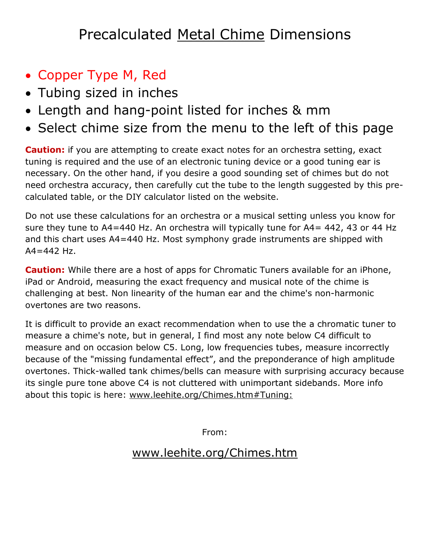## Precalculated Metal Chime Dimensions

- Copper Type M, Red
- Tubing sized in inches
- Length and hang-point listed for inches & mm
- Select chime size from the menu to the left of this page

**Caution:** if you are attempting to create exact notes for an orchestra setting, exact tuning is required and the use of an electronic tuning device or a good tuning ear is necessary. On the other hand, if you desire a good sounding set of chimes but do not need orchestra accuracy, then carefully cut the tube to the length suggested by this precalculated table, or the DIY calculator listed on the website.

Do not use these calculations for an orchestra or a musical setting unless you know for sure they tune to A4=440 Hz. An orchestra will typically tune for A4= 442, 43 or 44 Hz and this chart uses A4=440 Hz. Most symphony grade instruments are shipped with  $A4 = 442$  Hz.

**Caution:** While there are a host of apps for Chromatic Tuners available for an iPhone, iPad or Android, measuring the exact frequency and musical note of the chime is challenging at best. Non linearity of the human ear and the chime's non-harmonic overtones are two reasons.

It is difficult to provide an exact recommendation when to use the a chromatic tuner to measure a chime's note, but in general, I find most any note below C4 difficult to measure and on occasion below C5. Long, low frequencies tubes, measure incorrectly because of the "missing fundamental effect", and the preponderance of high amplitude overtones. Thick-walled tank chimes/bells can measure with surprising accuracy because its single pure tone above C4 is not cluttered with unimportant sidebands. More info about this topic is here: [www.leehite.org/Chimes.htm#Tuning:](http://leehite.org/Chimes.htm#Tuning:)

From:

## [www.leehite.org/Chimes.htm](http://www.leehite.org/Chimes.htm)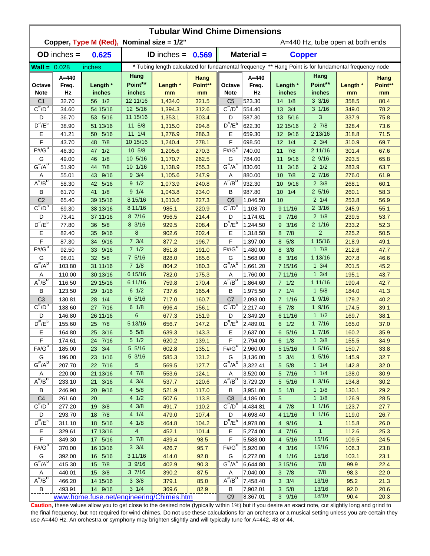| Copper, Type M (Red), Nominal size = 1/2"<br>A=440 Hz, tube open at both ends<br>Material =<br>$OD$ inches $=$<br>0.625<br><b>ID</b> inches $=$<br><b>Copper</b><br>0.569<br>$Wall = 0.028$<br>* Tubing length calculated for fundamental frequency ** Hang Point is for fundamental frequency node<br>inches<br>Hang<br>Hang<br>$A = 440$<br>$A = 440$<br>Hang<br>Hang<br>Point**<br>Point**<br>Length *<br>Length *<br>Point**<br>Length *<br>Point**<br>Freq.<br>Length *<br>Octave<br>Freq.<br>Octave<br>inches<br>Hz<br>inches<br><b>Note</b><br>Hz<br>inches<br><b>Note</b><br>inches<br>mm<br>mm<br>mm<br>mm<br>12 11/16<br>$3 \frac{3}{16}$<br>56 1/2<br>523.30<br>14 1/8<br>358.5<br>80.4<br>C <sub>1</sub><br>32.70<br>1,434.0<br>321.5<br>C <sub>5</sub><br>$C^{\#}/D^D$<br>$C^{\frac{\pi}{}}/D^b$<br>54 15/16<br>12 5/16<br>312.6<br>554.40<br>13 3/4<br>$3 \frac{1}{16}$<br>78.2<br>34.60<br>1,394.3<br>349.0<br>11 15/16<br>3<br>53 5/16<br>13 5/16<br>D<br>36.70<br>1,353.1<br>303.4<br>D<br>587.30<br>337.9<br>75.8<br>$D^{\#}/E^b$<br>$D^{\prime\prime}/E^b$<br>$2 \frac{7}{8}$<br>11 5/8<br>622.30<br>12 15/16<br>73.6<br>38.90<br>51 13/16<br>1,315.0<br>294.8<br>328.4<br>$11 \t1/4$<br>2 13/16<br>Е<br>50 5/16<br>Е<br>71.5<br>41.21<br>1,276.9<br>286.3<br>659.30<br>12 9/16<br>318.8<br>F<br>10 15/16<br>F<br>$2 \frac{3}{4}$<br>7/8<br>$12 \t1/4$<br>43.70<br>1,240.4<br>278.1<br>698.50<br>310.9<br>69.7<br>48<br>$F#/\overline{G}^D$<br>$F# / G^D$<br>1/2<br>10 5/8<br>7/8<br>2 11/16<br>46.30<br>1,205.6<br>270.3<br>740.00<br>11<br>301.4<br>67.6<br>47<br>10 5/16<br>29/16<br>G<br>1/8<br>262.5<br>9/16<br>65.8<br>49.00<br>1,170.7<br>G<br>784.00<br>293.5<br>46<br>11<br>$G^{\#}/A^D$<br>$G^H/A^D$<br>7/8<br>10 1/16<br>$2 \frac{1}{2}$<br>255.3<br>3/16<br>63.7<br>51.90<br>44<br>1,138.9<br>830.60<br>11<br>283.9<br>$9 \frac{3}{4}$<br>9/16<br>7/8<br>27/16<br>61.9<br>55.01<br>43<br>1,105.6<br>247.9<br>Α<br>880.00<br>10 <sup>°</sup><br>276.0<br>A<br>$A^{\#}/B^D$<br>$A^H/B^D$<br>9 1/2<br>$2 \frac{3}{8}$<br>42 5/16<br>240.8<br>932.30<br>9/16<br>58.30<br>1,073.9<br>10 <sup>°</sup><br>268.1<br>60.1<br>$9 \t1/4$<br>$2\,5/16$<br>1/8<br>1/4<br>В<br>61.70<br>41<br>1,043.8<br>234.0<br>В<br>987.80<br>10 <sup>°</sup><br>260.1<br>58.3<br>C <sub>2</sub><br>65.40<br>39 15/16<br>8 15/16<br>$2 \frac{1}{4}$<br>253.8<br>56.9<br>227.3<br>C <sub>6</sub><br>1.046.50<br>10<br>1,013.6<br>$C^{\prime\prime}/D^D$<br>$C^{\prime\prime}/D^D$<br>$2 \frac{3}{16}$<br>8 11/16<br>69.30<br>38 13/16<br>220.9<br>1,108.70<br>9 11/16<br>55.1<br>985.1<br>245.9<br>8 7/16<br>214.4<br>7/16<br>$2 \frac{1}{8}$<br>73.41<br>37 11/16<br>956.5<br>D<br>1,174.61<br>9<br>239.5<br>53.7<br>D<br>$D^{\pi}/E^b$<br>$D^{\pi}/E^b$<br>8 3/16<br>$2 \frac{1}{16}$<br>36 5/8<br>208.4<br>233.2<br>77.80<br>929.5<br>1,244.50<br>9<br>3/16<br>52.3<br>8<br>$\overline{2}$<br>Е<br>Е<br>82.40<br>9/16<br>902.6<br>202.4<br>1,318.50<br>7/8<br>225.2<br>50.5<br>35<br>8<br>F<br>$7 \frac{3}{4}$<br>F<br>1 15/16<br>9/16<br>196.7<br>5/8<br>218.9<br>49.1<br>87.30<br>34<br>877.2<br>1,397.00<br>8<br>$F#/\overline{G}^D$<br>$F# / G^D$<br>$7 \frac{1}{2}$<br>17/8<br>47.7<br>92.50<br>9/16<br>851.8<br>191.0<br>1,480.00<br>3/8<br>212.6<br>33<br>8<br>7 5/16<br>1 13/16<br>98.01<br>5/8<br>3/16<br>207.8<br>46.6<br>G<br>32 <sup>2</sup><br>828.0<br>185.6<br>G<br>1,568.00<br>8<br>$G^{\#}/A^D$<br>$G^{\#}/A^D$<br>103.80<br>31 11/16<br>$7 \frac{1}{8}$<br>180.3<br>$1 \frac{3}{4}$<br>201.5<br>45.2<br>804.2<br>1,661.20<br>7 15/16<br>6 15/16<br>$1 \frac{3}{4}$<br>110.00<br>30 13/16<br>782.0<br>175.3<br>195.1<br>43.7<br>1,760.00<br>7 11/16<br>Α<br>Α<br>$A^{\#}/B^{\sigma}$<br>$A^H/B^D$<br>6 11/16<br>170.4<br>1 11/16<br>116.50<br>29 15/16<br>759.8<br>1,864.60<br>$7 \t1/2$<br>190.4<br>42.7<br>$6 \frac{1}{2}$<br>$1 \t5/8$<br>29 1/16<br>165.4<br>7 1/4<br>41.3<br>В<br>123.50<br>737.6<br>B<br>1,975.50<br>184.0<br>65/16<br>19/16<br>C <sub>3</sub><br>1/4<br>717.0<br>C <sub>7</sub><br>7 1/16<br>40.2<br>130.81<br>160.7<br>2,093.00<br>179.2<br>28<br>$C^{\prime\prime}/D^b$<br>$C^{\#}/D^b$<br>27 7/16<br>$6 \frac{1}{8}$<br>2.217.40<br>$6$ $7/8$<br>19/16<br>138.60<br>696.4<br>156.1<br>174.5<br>39.1<br>6<br>11/2<br>26 11/16<br>6 11/16<br>D<br>146.80<br>677.3<br>151.9<br>D<br>2,349.20<br>169.7<br>38.1<br>$D^{\prime\prime}/E^b$<br>$D^{\#}/E^b$<br>5 13/16<br>17/16<br>25 7/8<br>2,489.01<br>$6 \t1/2$<br>155.60<br>656.7<br>147.2<br>165.0<br>37.0<br>Е<br>Е<br>17/16<br>25 3/16<br>$5 \frac{5}{8}$<br>639.3<br>143.3<br>2,637.00<br>$6\quad 5/16$<br>35.9<br>164.80<br>160.2<br>F<br>174.61<br>24 7/16<br>5 1/2<br>620.2<br>139.1<br>F<br>2,794.00<br>$6 \t1/8$<br>$1 \frac{3}{8}$<br>155.5<br>34.9<br>$F#/\overline{G}^D$<br>$F#/G^0$<br>5 5/16<br>$1 \frac{5}{16}$<br>185.00<br>23 3/4<br>602.8<br>135.1<br>2,960.00<br>5 15/16<br>150.7<br>33.8<br>23 1/16<br>5 3/16<br>585.3<br>$5 \frac{3}{4}$<br>$1 \frac{5}{16}$<br>32.7<br>196.00<br>131.2<br>3,136.00<br>145.9<br>G<br>G<br>$G^{\#}/A^D$<br>$G^H/A^D$<br>5<br>$1 \t1/4$<br>207.70<br>22 7/16<br>5 5/8<br>32.0<br>569.5<br>127.7<br>3,322.41<br>142.8<br>21 13/16<br>4 7/8<br>$1 \t1/4$<br>220.00<br>553.6<br>124.1<br>3,520.00<br>5 7/16<br>138.0<br>30.9<br>Α<br>Α<br>$A^{\#}/B^D$<br>$A^{\overline{n}}/B^{\overline{D}}$<br>$4 \frac{3}{4}$<br>$1 \frac{3}{16}$<br>21 3/16<br>120.6<br>3,729.20<br>30.2<br>233.10<br>537.7<br>5 5/16<br>134.8<br>$4\,5/8$<br>$1 \t1/8$<br>29.2<br>В<br>246.90<br>20 9/16<br>521.9<br>117.0<br>3,951.00<br>$5 \t1/8$<br>130.1<br>В<br>4 1/2<br>C <sub>4</sub><br>$1 \t1/8$<br>261.60<br>20<br>507.6<br>113.8<br>C <sub>8</sub><br>4,186.00<br>5<br>126.9<br>28.5<br>$C^{\frac{\pi}{}}/D^b$<br>$C^{\#}/D^D$<br>$4 \frac{3}{8}$<br>11/16<br>277.20<br>19 3/8<br>4,434.81<br>491.7<br>110.2<br>4 7/8<br>123.7<br>27.7<br>4 1/4<br>11/16<br>18 7/8<br>293.70<br>479.0<br>107.4<br>4,698.40<br>4 11/16<br>119.0<br>26.7<br>D<br>D<br>$D^{\frac{\pi}{r}}/E^b$<br>$D^{\#}/E^b$<br>18 5/16<br>4 1/8<br>4 9/16<br>$\mathbf{1}$<br>311.10<br>464.8<br>104.2<br> 4,978.00<br>115.8<br>26.0<br>$\overline{4}$<br>$\mathbf{1}$<br>Е<br>25.3<br>329.61<br>17 13/16<br>452.1<br>101.4<br>Е<br>5,274.00<br>4 7/16<br>112.6<br>$\mathsf F$<br>$3 \frac{7}{8}$<br>F<br>15/16<br>349.30<br>17 5/16<br>439.4<br>98.5<br>5,588.00<br>4 5/16<br>109.5<br>24.5<br>$F# / G^D$<br>$F# / G^D$<br>$3 \frac{3}{4}$<br>15/16<br>370.00<br>16 13/16<br>95.7<br>5,920.00<br>4 3/16<br>106.3<br>23.8<br>426.7<br>3 11/16<br>15/16<br>G<br>392.00<br>16 5/16<br>414.0<br>92.8<br>G<br>6,272.00<br>4 1/16<br>103.1<br>23.1<br>$G^{\#}/A^D$<br>$G''/A^D$<br>3 9/16<br>15 7/8<br>7/8<br>22.4<br>415.30<br>402.9<br>90.3<br>6,644.80<br>3 15/16<br>99.9<br>37/16<br>7/8<br>15 3/8<br>22.0<br>440.01<br>390.2<br>87.5<br>7,040.00<br>$3 \t7/8$<br>98.3<br>A<br>Α<br>$A^H/B^D$<br>$A^H/B^D$<br>$3 \frac{3}{8}$<br>13/16<br>466.20<br>7,458.40<br>$3 \frac{3}{4}$<br>21.3<br>14 15/16<br>379.1<br>85.0<br>95.2<br>$3 \t1/4$<br>14 9/16<br>$3 \t5/8$<br>13/16<br>20.6<br>В<br>493.91<br>369.6<br>82.9<br>B<br>7,902.01<br>92.0<br>www.home.fuse.net/engineering/Chimes.htm | <b>Tubular Wind Chime Dimensions</b> |  |  |  |  |                |          |        |       |      |      |  |  |  |
|-------------------------------------------------------------------------------------------------------------------------------------------------------------------------------------------------------------------------------------------------------------------------------------------------------------------------------------------------------------------------------------------------------------------------------------------------------------------------------------------------------------------------------------------------------------------------------------------------------------------------------------------------------------------------------------------------------------------------------------------------------------------------------------------------------------------------------------------------------------------------------------------------------------------------------------------------------------------------------------------------------------------------------------------------------------------------------------------------------------------------------------------------------------------------------------------------------------------------------------------------------------------------------------------------------------------------------------------------------------------------------------------------------------------------------------------------------------------------------------------------------------------------------------------------------------------------------------------------------------------------------------------------------------------------------------------------------------------------------------------------------------------------------------------------------------------------------------------------------------------------------------------------------------------------------------------------------------------------------------------------------------------------------------------------------------------------------------------------------------------------------------------------------------------------------------------------------------------------------------------------------------------------------------------------------------------------------------------------------------------------------------------------------------------------------------------------------------------------------------------------------------------------------------------------------------------------------------------------------------------------------------------------------------------------------------------------------------------------------------------------------------------------------------------------------------------------------------------------------------------------------------------------------------------------------------------------------------------------------------------------------------------------------------------------------------------------------------------------------------------------------------------------------------------------------------------------------------------------------------------------------------------------------------------------------------------------------------------------------------------------------------------------------------------------------------------------------------------------------------------------------------------------------------------------------------------------------------------------------------------------------------------------------------------------------------------------------------------------------------------------------------------------------------------------------------------------------------------------------------------------------------------------------------------------------------------------------------------------------------------------------------------------------------------------------------------------------------------------------------------------------------------------------------------------------------------------------------------------------------------------------------------------------------------------------------------------------------------------------------------------------------------------------------------------------------------------------------------------------------------------------------------------------------------------------------------------------------------------------------------------------------------------------------------------------------------------------------------------------------------------------------------------------------------------------------------------------------------------------------------------------------------------------------------------------------------------------------------------------------------------------------------------------------------------------------------------------------------------------------------------------------------------------------------------------------------------------------------------------------------------------------------------------------------------------------------------------------------------------------------------------------------------------------------------------------------------------------------------------------------------------------------------------------------------------------------------------------------------------------------------------------------------------------------------------------------------------------------------------------------------------------------------------------------------------------------------------------------------------------------------------------------------------------------------------------------------------------------------------------------------------------------------------------------------------------------------------------------------------------------------------------------------------------------------------------------------------------------------------------------------------------------------------------------------------------------------------------------------------------------------------------------------------------------------------------------------------------------------------------------------------------------------------------------------------------------------------------------------------------------------------------------------------------------------------------------------------------------------------------------------------------------------------------------------------------------------------------------------------------------------------------------------------------------------------------------------------------------------------------------------------------------------------------------------------------------------------------------------------------------------------------------------------------------------------------|--------------------------------------|--|--|--|--|----------------|----------|--------|-------|------|------|--|--|--|
|                                                                                                                                                                                                                                                                                                                                                                                                                                                                                                                                                                                                                                                                                                                                                                                                                                                                                                                                                                                                                                                                                                                                                                                                                                                                                                                                                                                                                                                                                                                                                                                                                                                                                                                                                                                                                                                                                                                                                                                                                                                                                                                                                                                                                                                                                                                                                                                                                                                                                                                                                                                                                                                                                                                                                                                                                                                                                                                                                                                                                                                                                                                                                                                                                                                                                                                                                                                                                                                                                                                                                                                                                                                                                                                                                                                                                                                                                                                                                                                                                                                                                                                                                                                                                                                                                                                                                                                                                                                                                                                                                                                                                                                                                                                                                                                                                                                                                                                                                                                                                                                                                                                                                                                                                                                                                                                                                                                                                                                                                                                                                                                                                                                                                                                                                                                                                                                                                                                                                                                                                                                                                                                                                                                                                                                                                                                                                                                                                                                                                                                                                                                                                                                                                                                                                                                                                                                                                                                                                                                                                                                                                                                                                                                     |                                      |  |  |  |  |                |          |        |       |      |      |  |  |  |
|                                                                                                                                                                                                                                                                                                                                                                                                                                                                                                                                                                                                                                                                                                                                                                                                                                                                                                                                                                                                                                                                                                                                                                                                                                                                                                                                                                                                                                                                                                                                                                                                                                                                                                                                                                                                                                                                                                                                                                                                                                                                                                                                                                                                                                                                                                                                                                                                                                                                                                                                                                                                                                                                                                                                                                                                                                                                                                                                                                                                                                                                                                                                                                                                                                                                                                                                                                                                                                                                                                                                                                                                                                                                                                                                                                                                                                                                                                                                                                                                                                                                                                                                                                                                                                                                                                                                                                                                                                                                                                                                                                                                                                                                                                                                                                                                                                                                                                                                                                                                                                                                                                                                                                                                                                                                                                                                                                                                                                                                                                                                                                                                                                                                                                                                                                                                                                                                                                                                                                                                                                                                                                                                                                                                                                                                                                                                                                                                                                                                                                                                                                                                                                                                                                                                                                                                                                                                                                                                                                                                                                                                                                                                                                                     |                                      |  |  |  |  |                |          |        |       |      |      |  |  |  |
|                                                                                                                                                                                                                                                                                                                                                                                                                                                                                                                                                                                                                                                                                                                                                                                                                                                                                                                                                                                                                                                                                                                                                                                                                                                                                                                                                                                                                                                                                                                                                                                                                                                                                                                                                                                                                                                                                                                                                                                                                                                                                                                                                                                                                                                                                                                                                                                                                                                                                                                                                                                                                                                                                                                                                                                                                                                                                                                                                                                                                                                                                                                                                                                                                                                                                                                                                                                                                                                                                                                                                                                                                                                                                                                                                                                                                                                                                                                                                                                                                                                                                                                                                                                                                                                                                                                                                                                                                                                                                                                                                                                                                                                                                                                                                                                                                                                                                                                                                                                                                                                                                                                                                                                                                                                                                                                                                                                                                                                                                                                                                                                                                                                                                                                                                                                                                                                                                                                                                                                                                                                                                                                                                                                                                                                                                                                                                                                                                                                                                                                                                                                                                                                                                                                                                                                                                                                                                                                                                                                                                                                                                                                                                                                     |                                      |  |  |  |  |                |          |        |       |      |      |  |  |  |
|                                                                                                                                                                                                                                                                                                                                                                                                                                                                                                                                                                                                                                                                                                                                                                                                                                                                                                                                                                                                                                                                                                                                                                                                                                                                                                                                                                                                                                                                                                                                                                                                                                                                                                                                                                                                                                                                                                                                                                                                                                                                                                                                                                                                                                                                                                                                                                                                                                                                                                                                                                                                                                                                                                                                                                                                                                                                                                                                                                                                                                                                                                                                                                                                                                                                                                                                                                                                                                                                                                                                                                                                                                                                                                                                                                                                                                                                                                                                                                                                                                                                                                                                                                                                                                                                                                                                                                                                                                                                                                                                                                                                                                                                                                                                                                                                                                                                                                                                                                                                                                                                                                                                                                                                                                                                                                                                                                                                                                                                                                                                                                                                                                                                                                                                                                                                                                                                                                                                                                                                                                                                                                                                                                                                                                                                                                                                                                                                                                                                                                                                                                                                                                                                                                                                                                                                                                                                                                                                                                                                                                                                                                                                                                                     |                                      |  |  |  |  |                |          |        |       |      |      |  |  |  |
|                                                                                                                                                                                                                                                                                                                                                                                                                                                                                                                                                                                                                                                                                                                                                                                                                                                                                                                                                                                                                                                                                                                                                                                                                                                                                                                                                                                                                                                                                                                                                                                                                                                                                                                                                                                                                                                                                                                                                                                                                                                                                                                                                                                                                                                                                                                                                                                                                                                                                                                                                                                                                                                                                                                                                                                                                                                                                                                                                                                                                                                                                                                                                                                                                                                                                                                                                                                                                                                                                                                                                                                                                                                                                                                                                                                                                                                                                                                                                                                                                                                                                                                                                                                                                                                                                                                                                                                                                                                                                                                                                                                                                                                                                                                                                                                                                                                                                                                                                                                                                                                                                                                                                                                                                                                                                                                                                                                                                                                                                                                                                                                                                                                                                                                                                                                                                                                                                                                                                                                                                                                                                                                                                                                                                                                                                                                                                                                                                                                                                                                                                                                                                                                                                                                                                                                                                                                                                                                                                                                                                                                                                                                                                                                     |                                      |  |  |  |  |                |          |        |       |      |      |  |  |  |
|                                                                                                                                                                                                                                                                                                                                                                                                                                                                                                                                                                                                                                                                                                                                                                                                                                                                                                                                                                                                                                                                                                                                                                                                                                                                                                                                                                                                                                                                                                                                                                                                                                                                                                                                                                                                                                                                                                                                                                                                                                                                                                                                                                                                                                                                                                                                                                                                                                                                                                                                                                                                                                                                                                                                                                                                                                                                                                                                                                                                                                                                                                                                                                                                                                                                                                                                                                                                                                                                                                                                                                                                                                                                                                                                                                                                                                                                                                                                                                                                                                                                                                                                                                                                                                                                                                                                                                                                                                                                                                                                                                                                                                                                                                                                                                                                                                                                                                                                                                                                                                                                                                                                                                                                                                                                                                                                                                                                                                                                                                                                                                                                                                                                                                                                                                                                                                                                                                                                                                                                                                                                                                                                                                                                                                                                                                                                                                                                                                                                                                                                                                                                                                                                                                                                                                                                                                                                                                                                                                                                                                                                                                                                                                                     |                                      |  |  |  |  |                |          |        |       |      |      |  |  |  |
|                                                                                                                                                                                                                                                                                                                                                                                                                                                                                                                                                                                                                                                                                                                                                                                                                                                                                                                                                                                                                                                                                                                                                                                                                                                                                                                                                                                                                                                                                                                                                                                                                                                                                                                                                                                                                                                                                                                                                                                                                                                                                                                                                                                                                                                                                                                                                                                                                                                                                                                                                                                                                                                                                                                                                                                                                                                                                                                                                                                                                                                                                                                                                                                                                                                                                                                                                                                                                                                                                                                                                                                                                                                                                                                                                                                                                                                                                                                                                                                                                                                                                                                                                                                                                                                                                                                                                                                                                                                                                                                                                                                                                                                                                                                                                                                                                                                                                                                                                                                                                                                                                                                                                                                                                                                                                                                                                                                                                                                                                                                                                                                                                                                                                                                                                                                                                                                                                                                                                                                                                                                                                                                                                                                                                                                                                                                                                                                                                                                                                                                                                                                                                                                                                                                                                                                                                                                                                                                                                                                                                                                                                                                                                                                     |                                      |  |  |  |  |                |          |        |       |      |      |  |  |  |
|                                                                                                                                                                                                                                                                                                                                                                                                                                                                                                                                                                                                                                                                                                                                                                                                                                                                                                                                                                                                                                                                                                                                                                                                                                                                                                                                                                                                                                                                                                                                                                                                                                                                                                                                                                                                                                                                                                                                                                                                                                                                                                                                                                                                                                                                                                                                                                                                                                                                                                                                                                                                                                                                                                                                                                                                                                                                                                                                                                                                                                                                                                                                                                                                                                                                                                                                                                                                                                                                                                                                                                                                                                                                                                                                                                                                                                                                                                                                                                                                                                                                                                                                                                                                                                                                                                                                                                                                                                                                                                                                                                                                                                                                                                                                                                                                                                                                                                                                                                                                                                                                                                                                                                                                                                                                                                                                                                                                                                                                                                                                                                                                                                                                                                                                                                                                                                                                                                                                                                                                                                                                                                                                                                                                                                                                                                                                                                                                                                                                                                                                                                                                                                                                                                                                                                                                                                                                                                                                                                                                                                                                                                                                                                                     |                                      |  |  |  |  |                |          |        |       |      |      |  |  |  |
|                                                                                                                                                                                                                                                                                                                                                                                                                                                                                                                                                                                                                                                                                                                                                                                                                                                                                                                                                                                                                                                                                                                                                                                                                                                                                                                                                                                                                                                                                                                                                                                                                                                                                                                                                                                                                                                                                                                                                                                                                                                                                                                                                                                                                                                                                                                                                                                                                                                                                                                                                                                                                                                                                                                                                                                                                                                                                                                                                                                                                                                                                                                                                                                                                                                                                                                                                                                                                                                                                                                                                                                                                                                                                                                                                                                                                                                                                                                                                                                                                                                                                                                                                                                                                                                                                                                                                                                                                                                                                                                                                                                                                                                                                                                                                                                                                                                                                                                                                                                                                                                                                                                                                                                                                                                                                                                                                                                                                                                                                                                                                                                                                                                                                                                                                                                                                                                                                                                                                                                                                                                                                                                                                                                                                                                                                                                                                                                                                                                                                                                                                                                                                                                                                                                                                                                                                                                                                                                                                                                                                                                                                                                                                                                     |                                      |  |  |  |  |                |          |        |       |      |      |  |  |  |
|                                                                                                                                                                                                                                                                                                                                                                                                                                                                                                                                                                                                                                                                                                                                                                                                                                                                                                                                                                                                                                                                                                                                                                                                                                                                                                                                                                                                                                                                                                                                                                                                                                                                                                                                                                                                                                                                                                                                                                                                                                                                                                                                                                                                                                                                                                                                                                                                                                                                                                                                                                                                                                                                                                                                                                                                                                                                                                                                                                                                                                                                                                                                                                                                                                                                                                                                                                                                                                                                                                                                                                                                                                                                                                                                                                                                                                                                                                                                                                                                                                                                                                                                                                                                                                                                                                                                                                                                                                                                                                                                                                                                                                                                                                                                                                                                                                                                                                                                                                                                                                                                                                                                                                                                                                                                                                                                                                                                                                                                                                                                                                                                                                                                                                                                                                                                                                                                                                                                                                                                                                                                                                                                                                                                                                                                                                                                                                                                                                                                                                                                                                                                                                                                                                                                                                                                                                                                                                                                                                                                                                                                                                                                                                                     |                                      |  |  |  |  |                |          |        |       |      |      |  |  |  |
|                                                                                                                                                                                                                                                                                                                                                                                                                                                                                                                                                                                                                                                                                                                                                                                                                                                                                                                                                                                                                                                                                                                                                                                                                                                                                                                                                                                                                                                                                                                                                                                                                                                                                                                                                                                                                                                                                                                                                                                                                                                                                                                                                                                                                                                                                                                                                                                                                                                                                                                                                                                                                                                                                                                                                                                                                                                                                                                                                                                                                                                                                                                                                                                                                                                                                                                                                                                                                                                                                                                                                                                                                                                                                                                                                                                                                                                                                                                                                                                                                                                                                                                                                                                                                                                                                                                                                                                                                                                                                                                                                                                                                                                                                                                                                                                                                                                                                                                                                                                                                                                                                                                                                                                                                                                                                                                                                                                                                                                                                                                                                                                                                                                                                                                                                                                                                                                                                                                                                                                                                                                                                                                                                                                                                                                                                                                                                                                                                                                                                                                                                                                                                                                                                                                                                                                                                                                                                                                                                                                                                                                                                                                                                                                     |                                      |  |  |  |  |                |          |        |       |      |      |  |  |  |
|                                                                                                                                                                                                                                                                                                                                                                                                                                                                                                                                                                                                                                                                                                                                                                                                                                                                                                                                                                                                                                                                                                                                                                                                                                                                                                                                                                                                                                                                                                                                                                                                                                                                                                                                                                                                                                                                                                                                                                                                                                                                                                                                                                                                                                                                                                                                                                                                                                                                                                                                                                                                                                                                                                                                                                                                                                                                                                                                                                                                                                                                                                                                                                                                                                                                                                                                                                                                                                                                                                                                                                                                                                                                                                                                                                                                                                                                                                                                                                                                                                                                                                                                                                                                                                                                                                                                                                                                                                                                                                                                                                                                                                                                                                                                                                                                                                                                                                                                                                                                                                                                                                                                                                                                                                                                                                                                                                                                                                                                                                                                                                                                                                                                                                                                                                                                                                                                                                                                                                                                                                                                                                                                                                                                                                                                                                                                                                                                                                                                                                                                                                                                                                                                                                                                                                                                                                                                                                                                                                                                                                                                                                                                                                                     |                                      |  |  |  |  |                |          |        |       |      |      |  |  |  |
|                                                                                                                                                                                                                                                                                                                                                                                                                                                                                                                                                                                                                                                                                                                                                                                                                                                                                                                                                                                                                                                                                                                                                                                                                                                                                                                                                                                                                                                                                                                                                                                                                                                                                                                                                                                                                                                                                                                                                                                                                                                                                                                                                                                                                                                                                                                                                                                                                                                                                                                                                                                                                                                                                                                                                                                                                                                                                                                                                                                                                                                                                                                                                                                                                                                                                                                                                                                                                                                                                                                                                                                                                                                                                                                                                                                                                                                                                                                                                                                                                                                                                                                                                                                                                                                                                                                                                                                                                                                                                                                                                                                                                                                                                                                                                                                                                                                                                                                                                                                                                                                                                                                                                                                                                                                                                                                                                                                                                                                                                                                                                                                                                                                                                                                                                                                                                                                                                                                                                                                                                                                                                                                                                                                                                                                                                                                                                                                                                                                                                                                                                                                                                                                                                                                                                                                                                                                                                                                                                                                                                                                                                                                                                                                     |                                      |  |  |  |  |                |          |        |       |      |      |  |  |  |
|                                                                                                                                                                                                                                                                                                                                                                                                                                                                                                                                                                                                                                                                                                                                                                                                                                                                                                                                                                                                                                                                                                                                                                                                                                                                                                                                                                                                                                                                                                                                                                                                                                                                                                                                                                                                                                                                                                                                                                                                                                                                                                                                                                                                                                                                                                                                                                                                                                                                                                                                                                                                                                                                                                                                                                                                                                                                                                                                                                                                                                                                                                                                                                                                                                                                                                                                                                                                                                                                                                                                                                                                                                                                                                                                                                                                                                                                                                                                                                                                                                                                                                                                                                                                                                                                                                                                                                                                                                                                                                                                                                                                                                                                                                                                                                                                                                                                                                                                                                                                                                                                                                                                                                                                                                                                                                                                                                                                                                                                                                                                                                                                                                                                                                                                                                                                                                                                                                                                                                                                                                                                                                                                                                                                                                                                                                                                                                                                                                                                                                                                                                                                                                                                                                                                                                                                                                                                                                                                                                                                                                                                                                                                                                                     |                                      |  |  |  |  |                |          |        |       |      |      |  |  |  |
|                                                                                                                                                                                                                                                                                                                                                                                                                                                                                                                                                                                                                                                                                                                                                                                                                                                                                                                                                                                                                                                                                                                                                                                                                                                                                                                                                                                                                                                                                                                                                                                                                                                                                                                                                                                                                                                                                                                                                                                                                                                                                                                                                                                                                                                                                                                                                                                                                                                                                                                                                                                                                                                                                                                                                                                                                                                                                                                                                                                                                                                                                                                                                                                                                                                                                                                                                                                                                                                                                                                                                                                                                                                                                                                                                                                                                                                                                                                                                                                                                                                                                                                                                                                                                                                                                                                                                                                                                                                                                                                                                                                                                                                                                                                                                                                                                                                                                                                                                                                                                                                                                                                                                                                                                                                                                                                                                                                                                                                                                                                                                                                                                                                                                                                                                                                                                                                                                                                                                                                                                                                                                                                                                                                                                                                                                                                                                                                                                                                                                                                                                                                                                                                                                                                                                                                                                                                                                                                                                                                                                                                                                                                                                                                     |                                      |  |  |  |  |                |          |        |       |      |      |  |  |  |
|                                                                                                                                                                                                                                                                                                                                                                                                                                                                                                                                                                                                                                                                                                                                                                                                                                                                                                                                                                                                                                                                                                                                                                                                                                                                                                                                                                                                                                                                                                                                                                                                                                                                                                                                                                                                                                                                                                                                                                                                                                                                                                                                                                                                                                                                                                                                                                                                                                                                                                                                                                                                                                                                                                                                                                                                                                                                                                                                                                                                                                                                                                                                                                                                                                                                                                                                                                                                                                                                                                                                                                                                                                                                                                                                                                                                                                                                                                                                                                                                                                                                                                                                                                                                                                                                                                                                                                                                                                                                                                                                                                                                                                                                                                                                                                                                                                                                                                                                                                                                                                                                                                                                                                                                                                                                                                                                                                                                                                                                                                                                                                                                                                                                                                                                                                                                                                                                                                                                                                                                                                                                                                                                                                                                                                                                                                                                                                                                                                                                                                                                                                                                                                                                                                                                                                                                                                                                                                                                                                                                                                                                                                                                                                                     |                                      |  |  |  |  |                |          |        |       |      |      |  |  |  |
|                                                                                                                                                                                                                                                                                                                                                                                                                                                                                                                                                                                                                                                                                                                                                                                                                                                                                                                                                                                                                                                                                                                                                                                                                                                                                                                                                                                                                                                                                                                                                                                                                                                                                                                                                                                                                                                                                                                                                                                                                                                                                                                                                                                                                                                                                                                                                                                                                                                                                                                                                                                                                                                                                                                                                                                                                                                                                                                                                                                                                                                                                                                                                                                                                                                                                                                                                                                                                                                                                                                                                                                                                                                                                                                                                                                                                                                                                                                                                                                                                                                                                                                                                                                                                                                                                                                                                                                                                                                                                                                                                                                                                                                                                                                                                                                                                                                                                                                                                                                                                                                                                                                                                                                                                                                                                                                                                                                                                                                                                                                                                                                                                                                                                                                                                                                                                                                                                                                                                                                                                                                                                                                                                                                                                                                                                                                                                                                                                                                                                                                                                                                                                                                                                                                                                                                                                                                                                                                                                                                                                                                                                                                                                                                     |                                      |  |  |  |  |                |          |        |       |      |      |  |  |  |
|                                                                                                                                                                                                                                                                                                                                                                                                                                                                                                                                                                                                                                                                                                                                                                                                                                                                                                                                                                                                                                                                                                                                                                                                                                                                                                                                                                                                                                                                                                                                                                                                                                                                                                                                                                                                                                                                                                                                                                                                                                                                                                                                                                                                                                                                                                                                                                                                                                                                                                                                                                                                                                                                                                                                                                                                                                                                                                                                                                                                                                                                                                                                                                                                                                                                                                                                                                                                                                                                                                                                                                                                                                                                                                                                                                                                                                                                                                                                                                                                                                                                                                                                                                                                                                                                                                                                                                                                                                                                                                                                                                                                                                                                                                                                                                                                                                                                                                                                                                                                                                                                                                                                                                                                                                                                                                                                                                                                                                                                                                                                                                                                                                                                                                                                                                                                                                                                                                                                                                                                                                                                                                                                                                                                                                                                                                                                                                                                                                                                                                                                                                                                                                                                                                                                                                                                                                                                                                                                                                                                                                                                                                                                                                                     |                                      |  |  |  |  |                |          |        |       |      |      |  |  |  |
|                                                                                                                                                                                                                                                                                                                                                                                                                                                                                                                                                                                                                                                                                                                                                                                                                                                                                                                                                                                                                                                                                                                                                                                                                                                                                                                                                                                                                                                                                                                                                                                                                                                                                                                                                                                                                                                                                                                                                                                                                                                                                                                                                                                                                                                                                                                                                                                                                                                                                                                                                                                                                                                                                                                                                                                                                                                                                                                                                                                                                                                                                                                                                                                                                                                                                                                                                                                                                                                                                                                                                                                                                                                                                                                                                                                                                                                                                                                                                                                                                                                                                                                                                                                                                                                                                                                                                                                                                                                                                                                                                                                                                                                                                                                                                                                                                                                                                                                                                                                                                                                                                                                                                                                                                                                                                                                                                                                                                                                                                                                                                                                                                                                                                                                                                                                                                                                                                                                                                                                                                                                                                                                                                                                                                                                                                                                                                                                                                                                                                                                                                                                                                                                                                                                                                                                                                                                                                                                                                                                                                                                                                                                                                                                     |                                      |  |  |  |  |                |          |        |       |      |      |  |  |  |
|                                                                                                                                                                                                                                                                                                                                                                                                                                                                                                                                                                                                                                                                                                                                                                                                                                                                                                                                                                                                                                                                                                                                                                                                                                                                                                                                                                                                                                                                                                                                                                                                                                                                                                                                                                                                                                                                                                                                                                                                                                                                                                                                                                                                                                                                                                                                                                                                                                                                                                                                                                                                                                                                                                                                                                                                                                                                                                                                                                                                                                                                                                                                                                                                                                                                                                                                                                                                                                                                                                                                                                                                                                                                                                                                                                                                                                                                                                                                                                                                                                                                                                                                                                                                                                                                                                                                                                                                                                                                                                                                                                                                                                                                                                                                                                                                                                                                                                                                                                                                                                                                                                                                                                                                                                                                                                                                                                                                                                                                                                                                                                                                                                                                                                                                                                                                                                                                                                                                                                                                                                                                                                                                                                                                                                                                                                                                                                                                                                                                                                                                                                                                                                                                                                                                                                                                                                                                                                                                                                                                                                                                                                                                                                                     |                                      |  |  |  |  |                |          |        |       |      |      |  |  |  |
|                                                                                                                                                                                                                                                                                                                                                                                                                                                                                                                                                                                                                                                                                                                                                                                                                                                                                                                                                                                                                                                                                                                                                                                                                                                                                                                                                                                                                                                                                                                                                                                                                                                                                                                                                                                                                                                                                                                                                                                                                                                                                                                                                                                                                                                                                                                                                                                                                                                                                                                                                                                                                                                                                                                                                                                                                                                                                                                                                                                                                                                                                                                                                                                                                                                                                                                                                                                                                                                                                                                                                                                                                                                                                                                                                                                                                                                                                                                                                                                                                                                                                                                                                                                                                                                                                                                                                                                                                                                                                                                                                                                                                                                                                                                                                                                                                                                                                                                                                                                                                                                                                                                                                                                                                                                                                                                                                                                                                                                                                                                                                                                                                                                                                                                                                                                                                                                                                                                                                                                                                                                                                                                                                                                                                                                                                                                                                                                                                                                                                                                                                                                                                                                                                                                                                                                                                                                                                                                                                                                                                                                                                                                                                                                     |                                      |  |  |  |  |                |          |        |       |      |      |  |  |  |
|                                                                                                                                                                                                                                                                                                                                                                                                                                                                                                                                                                                                                                                                                                                                                                                                                                                                                                                                                                                                                                                                                                                                                                                                                                                                                                                                                                                                                                                                                                                                                                                                                                                                                                                                                                                                                                                                                                                                                                                                                                                                                                                                                                                                                                                                                                                                                                                                                                                                                                                                                                                                                                                                                                                                                                                                                                                                                                                                                                                                                                                                                                                                                                                                                                                                                                                                                                                                                                                                                                                                                                                                                                                                                                                                                                                                                                                                                                                                                                                                                                                                                                                                                                                                                                                                                                                                                                                                                                                                                                                                                                                                                                                                                                                                                                                                                                                                                                                                                                                                                                                                                                                                                                                                                                                                                                                                                                                                                                                                                                                                                                                                                                                                                                                                                                                                                                                                                                                                                                                                                                                                                                                                                                                                                                                                                                                                                                                                                                                                                                                                                                                                                                                                                                                                                                                                                                                                                                                                                                                                                                                                                                                                                                                     |                                      |  |  |  |  |                |          |        |       |      |      |  |  |  |
|                                                                                                                                                                                                                                                                                                                                                                                                                                                                                                                                                                                                                                                                                                                                                                                                                                                                                                                                                                                                                                                                                                                                                                                                                                                                                                                                                                                                                                                                                                                                                                                                                                                                                                                                                                                                                                                                                                                                                                                                                                                                                                                                                                                                                                                                                                                                                                                                                                                                                                                                                                                                                                                                                                                                                                                                                                                                                                                                                                                                                                                                                                                                                                                                                                                                                                                                                                                                                                                                                                                                                                                                                                                                                                                                                                                                                                                                                                                                                                                                                                                                                                                                                                                                                                                                                                                                                                                                                                                                                                                                                                                                                                                                                                                                                                                                                                                                                                                                                                                                                                                                                                                                                                                                                                                                                                                                                                                                                                                                                                                                                                                                                                                                                                                                                                                                                                                                                                                                                                                                                                                                                                                                                                                                                                                                                                                                                                                                                                                                                                                                                                                                                                                                                                                                                                                                                                                                                                                                                                                                                                                                                                                                                                                     |                                      |  |  |  |  |                |          |        |       |      |      |  |  |  |
|                                                                                                                                                                                                                                                                                                                                                                                                                                                                                                                                                                                                                                                                                                                                                                                                                                                                                                                                                                                                                                                                                                                                                                                                                                                                                                                                                                                                                                                                                                                                                                                                                                                                                                                                                                                                                                                                                                                                                                                                                                                                                                                                                                                                                                                                                                                                                                                                                                                                                                                                                                                                                                                                                                                                                                                                                                                                                                                                                                                                                                                                                                                                                                                                                                                                                                                                                                                                                                                                                                                                                                                                                                                                                                                                                                                                                                                                                                                                                                                                                                                                                                                                                                                                                                                                                                                                                                                                                                                                                                                                                                                                                                                                                                                                                                                                                                                                                                                                                                                                                                                                                                                                                                                                                                                                                                                                                                                                                                                                                                                                                                                                                                                                                                                                                                                                                                                                                                                                                                                                                                                                                                                                                                                                                                                                                                                                                                                                                                                                                                                                                                                                                                                                                                                                                                                                                                                                                                                                                                                                                                                                                                                                                                                     |                                      |  |  |  |  |                |          |        |       |      |      |  |  |  |
|                                                                                                                                                                                                                                                                                                                                                                                                                                                                                                                                                                                                                                                                                                                                                                                                                                                                                                                                                                                                                                                                                                                                                                                                                                                                                                                                                                                                                                                                                                                                                                                                                                                                                                                                                                                                                                                                                                                                                                                                                                                                                                                                                                                                                                                                                                                                                                                                                                                                                                                                                                                                                                                                                                                                                                                                                                                                                                                                                                                                                                                                                                                                                                                                                                                                                                                                                                                                                                                                                                                                                                                                                                                                                                                                                                                                                                                                                                                                                                                                                                                                                                                                                                                                                                                                                                                                                                                                                                                                                                                                                                                                                                                                                                                                                                                                                                                                                                                                                                                                                                                                                                                                                                                                                                                                                                                                                                                                                                                                                                                                                                                                                                                                                                                                                                                                                                                                                                                                                                                                                                                                                                                                                                                                                                                                                                                                                                                                                                                                                                                                                                                                                                                                                                                                                                                                                                                                                                                                                                                                                                                                                                                                                                                     |                                      |  |  |  |  |                |          |        |       |      |      |  |  |  |
|                                                                                                                                                                                                                                                                                                                                                                                                                                                                                                                                                                                                                                                                                                                                                                                                                                                                                                                                                                                                                                                                                                                                                                                                                                                                                                                                                                                                                                                                                                                                                                                                                                                                                                                                                                                                                                                                                                                                                                                                                                                                                                                                                                                                                                                                                                                                                                                                                                                                                                                                                                                                                                                                                                                                                                                                                                                                                                                                                                                                                                                                                                                                                                                                                                                                                                                                                                                                                                                                                                                                                                                                                                                                                                                                                                                                                                                                                                                                                                                                                                                                                                                                                                                                                                                                                                                                                                                                                                                                                                                                                                                                                                                                                                                                                                                                                                                                                                                                                                                                                                                                                                                                                                                                                                                                                                                                                                                                                                                                                                                                                                                                                                                                                                                                                                                                                                                                                                                                                                                                                                                                                                                                                                                                                                                                                                                                                                                                                                                                                                                                                                                                                                                                                                                                                                                                                                                                                                                                                                                                                                                                                                                                                                                     |                                      |  |  |  |  |                |          |        |       |      |      |  |  |  |
|                                                                                                                                                                                                                                                                                                                                                                                                                                                                                                                                                                                                                                                                                                                                                                                                                                                                                                                                                                                                                                                                                                                                                                                                                                                                                                                                                                                                                                                                                                                                                                                                                                                                                                                                                                                                                                                                                                                                                                                                                                                                                                                                                                                                                                                                                                                                                                                                                                                                                                                                                                                                                                                                                                                                                                                                                                                                                                                                                                                                                                                                                                                                                                                                                                                                                                                                                                                                                                                                                                                                                                                                                                                                                                                                                                                                                                                                                                                                                                                                                                                                                                                                                                                                                                                                                                                                                                                                                                                                                                                                                                                                                                                                                                                                                                                                                                                                                                                                                                                                                                                                                                                                                                                                                                                                                                                                                                                                                                                                                                                                                                                                                                                                                                                                                                                                                                                                                                                                                                                                                                                                                                                                                                                                                                                                                                                                                                                                                                                                                                                                                                                                                                                                                                                                                                                                                                                                                                                                                                                                                                                                                                                                                                                     |                                      |  |  |  |  |                |          |        |       |      |      |  |  |  |
|                                                                                                                                                                                                                                                                                                                                                                                                                                                                                                                                                                                                                                                                                                                                                                                                                                                                                                                                                                                                                                                                                                                                                                                                                                                                                                                                                                                                                                                                                                                                                                                                                                                                                                                                                                                                                                                                                                                                                                                                                                                                                                                                                                                                                                                                                                                                                                                                                                                                                                                                                                                                                                                                                                                                                                                                                                                                                                                                                                                                                                                                                                                                                                                                                                                                                                                                                                                                                                                                                                                                                                                                                                                                                                                                                                                                                                                                                                                                                                                                                                                                                                                                                                                                                                                                                                                                                                                                                                                                                                                                                                                                                                                                                                                                                                                                                                                                                                                                                                                                                                                                                                                                                                                                                                                                                                                                                                                                                                                                                                                                                                                                                                                                                                                                                                                                                                                                                                                                                                                                                                                                                                                                                                                                                                                                                                                                                                                                                                                                                                                                                                                                                                                                                                                                                                                                                                                                                                                                                                                                                                                                                                                                                                                     |                                      |  |  |  |  |                |          |        |       |      |      |  |  |  |
|                                                                                                                                                                                                                                                                                                                                                                                                                                                                                                                                                                                                                                                                                                                                                                                                                                                                                                                                                                                                                                                                                                                                                                                                                                                                                                                                                                                                                                                                                                                                                                                                                                                                                                                                                                                                                                                                                                                                                                                                                                                                                                                                                                                                                                                                                                                                                                                                                                                                                                                                                                                                                                                                                                                                                                                                                                                                                                                                                                                                                                                                                                                                                                                                                                                                                                                                                                                                                                                                                                                                                                                                                                                                                                                                                                                                                                                                                                                                                                                                                                                                                                                                                                                                                                                                                                                                                                                                                                                                                                                                                                                                                                                                                                                                                                                                                                                                                                                                                                                                                                                                                                                                                                                                                                                                                                                                                                                                                                                                                                                                                                                                                                                                                                                                                                                                                                                                                                                                                                                                                                                                                                                                                                                                                                                                                                                                                                                                                                                                                                                                                                                                                                                                                                                                                                                                                                                                                                                                                                                                                                                                                                                                                                                     |                                      |  |  |  |  |                |          |        |       |      |      |  |  |  |
|                                                                                                                                                                                                                                                                                                                                                                                                                                                                                                                                                                                                                                                                                                                                                                                                                                                                                                                                                                                                                                                                                                                                                                                                                                                                                                                                                                                                                                                                                                                                                                                                                                                                                                                                                                                                                                                                                                                                                                                                                                                                                                                                                                                                                                                                                                                                                                                                                                                                                                                                                                                                                                                                                                                                                                                                                                                                                                                                                                                                                                                                                                                                                                                                                                                                                                                                                                                                                                                                                                                                                                                                                                                                                                                                                                                                                                                                                                                                                                                                                                                                                                                                                                                                                                                                                                                                                                                                                                                                                                                                                                                                                                                                                                                                                                                                                                                                                                                                                                                                                                                                                                                                                                                                                                                                                                                                                                                                                                                                                                                                                                                                                                                                                                                                                                                                                                                                                                                                                                                                                                                                                                                                                                                                                                                                                                                                                                                                                                                                                                                                                                                                                                                                                                                                                                                                                                                                                                                                                                                                                                                                                                                                                                                     |                                      |  |  |  |  |                |          |        |       |      |      |  |  |  |
|                                                                                                                                                                                                                                                                                                                                                                                                                                                                                                                                                                                                                                                                                                                                                                                                                                                                                                                                                                                                                                                                                                                                                                                                                                                                                                                                                                                                                                                                                                                                                                                                                                                                                                                                                                                                                                                                                                                                                                                                                                                                                                                                                                                                                                                                                                                                                                                                                                                                                                                                                                                                                                                                                                                                                                                                                                                                                                                                                                                                                                                                                                                                                                                                                                                                                                                                                                                                                                                                                                                                                                                                                                                                                                                                                                                                                                                                                                                                                                                                                                                                                                                                                                                                                                                                                                                                                                                                                                                                                                                                                                                                                                                                                                                                                                                                                                                                                                                                                                                                                                                                                                                                                                                                                                                                                                                                                                                                                                                                                                                                                                                                                                                                                                                                                                                                                                                                                                                                                                                                                                                                                                                                                                                                                                                                                                                                                                                                                                                                                                                                                                                                                                                                                                                                                                                                                                                                                                                                                                                                                                                                                                                                                                                     |                                      |  |  |  |  |                |          |        |       |      |      |  |  |  |
|                                                                                                                                                                                                                                                                                                                                                                                                                                                                                                                                                                                                                                                                                                                                                                                                                                                                                                                                                                                                                                                                                                                                                                                                                                                                                                                                                                                                                                                                                                                                                                                                                                                                                                                                                                                                                                                                                                                                                                                                                                                                                                                                                                                                                                                                                                                                                                                                                                                                                                                                                                                                                                                                                                                                                                                                                                                                                                                                                                                                                                                                                                                                                                                                                                                                                                                                                                                                                                                                                                                                                                                                                                                                                                                                                                                                                                                                                                                                                                                                                                                                                                                                                                                                                                                                                                                                                                                                                                                                                                                                                                                                                                                                                                                                                                                                                                                                                                                                                                                                                                                                                                                                                                                                                                                                                                                                                                                                                                                                                                                                                                                                                                                                                                                                                                                                                                                                                                                                                                                                                                                                                                                                                                                                                                                                                                                                                                                                                                                                                                                                                                                                                                                                                                                                                                                                                                                                                                                                                                                                                                                                                                                                                                                     |                                      |  |  |  |  |                |          |        |       |      |      |  |  |  |
|                                                                                                                                                                                                                                                                                                                                                                                                                                                                                                                                                                                                                                                                                                                                                                                                                                                                                                                                                                                                                                                                                                                                                                                                                                                                                                                                                                                                                                                                                                                                                                                                                                                                                                                                                                                                                                                                                                                                                                                                                                                                                                                                                                                                                                                                                                                                                                                                                                                                                                                                                                                                                                                                                                                                                                                                                                                                                                                                                                                                                                                                                                                                                                                                                                                                                                                                                                                                                                                                                                                                                                                                                                                                                                                                                                                                                                                                                                                                                                                                                                                                                                                                                                                                                                                                                                                                                                                                                                                                                                                                                                                                                                                                                                                                                                                                                                                                                                                                                                                                                                                                                                                                                                                                                                                                                                                                                                                                                                                                                                                                                                                                                                                                                                                                                                                                                                                                                                                                                                                                                                                                                                                                                                                                                                                                                                                                                                                                                                                                                                                                                                                                                                                                                                                                                                                                                                                                                                                                                                                                                                                                                                                                                                                     |                                      |  |  |  |  |                |          |        |       |      |      |  |  |  |
|                                                                                                                                                                                                                                                                                                                                                                                                                                                                                                                                                                                                                                                                                                                                                                                                                                                                                                                                                                                                                                                                                                                                                                                                                                                                                                                                                                                                                                                                                                                                                                                                                                                                                                                                                                                                                                                                                                                                                                                                                                                                                                                                                                                                                                                                                                                                                                                                                                                                                                                                                                                                                                                                                                                                                                                                                                                                                                                                                                                                                                                                                                                                                                                                                                                                                                                                                                                                                                                                                                                                                                                                                                                                                                                                                                                                                                                                                                                                                                                                                                                                                                                                                                                                                                                                                                                                                                                                                                                                                                                                                                                                                                                                                                                                                                                                                                                                                                                                                                                                                                                                                                                                                                                                                                                                                                                                                                                                                                                                                                                                                                                                                                                                                                                                                                                                                                                                                                                                                                                                                                                                                                                                                                                                                                                                                                                                                                                                                                                                                                                                                                                                                                                                                                                                                                                                                                                                                                                                                                                                                                                                                                                                                                                     |                                      |  |  |  |  |                |          |        |       |      |      |  |  |  |
|                                                                                                                                                                                                                                                                                                                                                                                                                                                                                                                                                                                                                                                                                                                                                                                                                                                                                                                                                                                                                                                                                                                                                                                                                                                                                                                                                                                                                                                                                                                                                                                                                                                                                                                                                                                                                                                                                                                                                                                                                                                                                                                                                                                                                                                                                                                                                                                                                                                                                                                                                                                                                                                                                                                                                                                                                                                                                                                                                                                                                                                                                                                                                                                                                                                                                                                                                                                                                                                                                                                                                                                                                                                                                                                                                                                                                                                                                                                                                                                                                                                                                                                                                                                                                                                                                                                                                                                                                                                                                                                                                                                                                                                                                                                                                                                                                                                                                                                                                                                                                                                                                                                                                                                                                                                                                                                                                                                                                                                                                                                                                                                                                                                                                                                                                                                                                                                                                                                                                                                                                                                                                                                                                                                                                                                                                                                                                                                                                                                                                                                                                                                                                                                                                                                                                                                                                                                                                                                                                                                                                                                                                                                                                                                     |                                      |  |  |  |  |                |          |        |       |      |      |  |  |  |
|                                                                                                                                                                                                                                                                                                                                                                                                                                                                                                                                                                                                                                                                                                                                                                                                                                                                                                                                                                                                                                                                                                                                                                                                                                                                                                                                                                                                                                                                                                                                                                                                                                                                                                                                                                                                                                                                                                                                                                                                                                                                                                                                                                                                                                                                                                                                                                                                                                                                                                                                                                                                                                                                                                                                                                                                                                                                                                                                                                                                                                                                                                                                                                                                                                                                                                                                                                                                                                                                                                                                                                                                                                                                                                                                                                                                                                                                                                                                                                                                                                                                                                                                                                                                                                                                                                                                                                                                                                                                                                                                                                                                                                                                                                                                                                                                                                                                                                                                                                                                                                                                                                                                                                                                                                                                                                                                                                                                                                                                                                                                                                                                                                                                                                                                                                                                                                                                                                                                                                                                                                                                                                                                                                                                                                                                                                                                                                                                                                                                                                                                                                                                                                                                                                                                                                                                                                                                                                                                                                                                                                                                                                                                                                                     |                                      |  |  |  |  |                |          |        |       |      |      |  |  |  |
|                                                                                                                                                                                                                                                                                                                                                                                                                                                                                                                                                                                                                                                                                                                                                                                                                                                                                                                                                                                                                                                                                                                                                                                                                                                                                                                                                                                                                                                                                                                                                                                                                                                                                                                                                                                                                                                                                                                                                                                                                                                                                                                                                                                                                                                                                                                                                                                                                                                                                                                                                                                                                                                                                                                                                                                                                                                                                                                                                                                                                                                                                                                                                                                                                                                                                                                                                                                                                                                                                                                                                                                                                                                                                                                                                                                                                                                                                                                                                                                                                                                                                                                                                                                                                                                                                                                                                                                                                                                                                                                                                                                                                                                                                                                                                                                                                                                                                                                                                                                                                                                                                                                                                                                                                                                                                                                                                                                                                                                                                                                                                                                                                                                                                                                                                                                                                                                                                                                                                                                                                                                                                                                                                                                                                                                                                                                                                                                                                                                                                                                                                                                                                                                                                                                                                                                                                                                                                                                                                                                                                                                                                                                                                                                     |                                      |  |  |  |  |                |          |        |       |      |      |  |  |  |
|                                                                                                                                                                                                                                                                                                                                                                                                                                                                                                                                                                                                                                                                                                                                                                                                                                                                                                                                                                                                                                                                                                                                                                                                                                                                                                                                                                                                                                                                                                                                                                                                                                                                                                                                                                                                                                                                                                                                                                                                                                                                                                                                                                                                                                                                                                                                                                                                                                                                                                                                                                                                                                                                                                                                                                                                                                                                                                                                                                                                                                                                                                                                                                                                                                                                                                                                                                                                                                                                                                                                                                                                                                                                                                                                                                                                                                                                                                                                                                                                                                                                                                                                                                                                                                                                                                                                                                                                                                                                                                                                                                                                                                                                                                                                                                                                                                                                                                                                                                                                                                                                                                                                                                                                                                                                                                                                                                                                                                                                                                                                                                                                                                                                                                                                                                                                                                                                                                                                                                                                                                                                                                                                                                                                                                                                                                                                                                                                                                                                                                                                                                                                                                                                                                                                                                                                                                                                                                                                                                                                                                                                                                                                                                                     |                                      |  |  |  |  |                |          |        |       |      |      |  |  |  |
|                                                                                                                                                                                                                                                                                                                                                                                                                                                                                                                                                                                                                                                                                                                                                                                                                                                                                                                                                                                                                                                                                                                                                                                                                                                                                                                                                                                                                                                                                                                                                                                                                                                                                                                                                                                                                                                                                                                                                                                                                                                                                                                                                                                                                                                                                                                                                                                                                                                                                                                                                                                                                                                                                                                                                                                                                                                                                                                                                                                                                                                                                                                                                                                                                                                                                                                                                                                                                                                                                                                                                                                                                                                                                                                                                                                                                                                                                                                                                                                                                                                                                                                                                                                                                                                                                                                                                                                                                                                                                                                                                                                                                                                                                                                                                                                                                                                                                                                                                                                                                                                                                                                                                                                                                                                                                                                                                                                                                                                                                                                                                                                                                                                                                                                                                                                                                                                                                                                                                                                                                                                                                                                                                                                                                                                                                                                                                                                                                                                                                                                                                                                                                                                                                                                                                                                                                                                                                                                                                                                                                                                                                                                                                                                     |                                      |  |  |  |  |                |          |        |       |      |      |  |  |  |
|                                                                                                                                                                                                                                                                                                                                                                                                                                                                                                                                                                                                                                                                                                                                                                                                                                                                                                                                                                                                                                                                                                                                                                                                                                                                                                                                                                                                                                                                                                                                                                                                                                                                                                                                                                                                                                                                                                                                                                                                                                                                                                                                                                                                                                                                                                                                                                                                                                                                                                                                                                                                                                                                                                                                                                                                                                                                                                                                                                                                                                                                                                                                                                                                                                                                                                                                                                                                                                                                                                                                                                                                                                                                                                                                                                                                                                                                                                                                                                                                                                                                                                                                                                                                                                                                                                                                                                                                                                                                                                                                                                                                                                                                                                                                                                                                                                                                                                                                                                                                                                                                                                                                                                                                                                                                                                                                                                                                                                                                                                                                                                                                                                                                                                                                                                                                                                                                                                                                                                                                                                                                                                                                                                                                                                                                                                                                                                                                                                                                                                                                                                                                                                                                                                                                                                                                                                                                                                                                                                                                                                                                                                                                                                                     |                                      |  |  |  |  |                |          |        |       |      |      |  |  |  |
|                                                                                                                                                                                                                                                                                                                                                                                                                                                                                                                                                                                                                                                                                                                                                                                                                                                                                                                                                                                                                                                                                                                                                                                                                                                                                                                                                                                                                                                                                                                                                                                                                                                                                                                                                                                                                                                                                                                                                                                                                                                                                                                                                                                                                                                                                                                                                                                                                                                                                                                                                                                                                                                                                                                                                                                                                                                                                                                                                                                                                                                                                                                                                                                                                                                                                                                                                                                                                                                                                                                                                                                                                                                                                                                                                                                                                                                                                                                                                                                                                                                                                                                                                                                                                                                                                                                                                                                                                                                                                                                                                                                                                                                                                                                                                                                                                                                                                                                                                                                                                                                                                                                                                                                                                                                                                                                                                                                                                                                                                                                                                                                                                                                                                                                                                                                                                                                                                                                                                                                                                                                                                                                                                                                                                                                                                                                                                                                                                                                                                                                                                                                                                                                                                                                                                                                                                                                                                                                                                                                                                                                                                                                                                                                     |                                      |  |  |  |  |                |          |        |       |      |      |  |  |  |
|                                                                                                                                                                                                                                                                                                                                                                                                                                                                                                                                                                                                                                                                                                                                                                                                                                                                                                                                                                                                                                                                                                                                                                                                                                                                                                                                                                                                                                                                                                                                                                                                                                                                                                                                                                                                                                                                                                                                                                                                                                                                                                                                                                                                                                                                                                                                                                                                                                                                                                                                                                                                                                                                                                                                                                                                                                                                                                                                                                                                                                                                                                                                                                                                                                                                                                                                                                                                                                                                                                                                                                                                                                                                                                                                                                                                                                                                                                                                                                                                                                                                                                                                                                                                                                                                                                                                                                                                                                                                                                                                                                                                                                                                                                                                                                                                                                                                                                                                                                                                                                                                                                                                                                                                                                                                                                                                                                                                                                                                                                                                                                                                                                                                                                                                                                                                                                                                                                                                                                                                                                                                                                                                                                                                                                                                                                                                                                                                                                                                                                                                                                                                                                                                                                                                                                                                                                                                                                                                                                                                                                                                                                                                                                                     |                                      |  |  |  |  |                |          |        |       |      |      |  |  |  |
|                                                                                                                                                                                                                                                                                                                                                                                                                                                                                                                                                                                                                                                                                                                                                                                                                                                                                                                                                                                                                                                                                                                                                                                                                                                                                                                                                                                                                                                                                                                                                                                                                                                                                                                                                                                                                                                                                                                                                                                                                                                                                                                                                                                                                                                                                                                                                                                                                                                                                                                                                                                                                                                                                                                                                                                                                                                                                                                                                                                                                                                                                                                                                                                                                                                                                                                                                                                                                                                                                                                                                                                                                                                                                                                                                                                                                                                                                                                                                                                                                                                                                                                                                                                                                                                                                                                                                                                                                                                                                                                                                                                                                                                                                                                                                                                                                                                                                                                                                                                                                                                                                                                                                                                                                                                                                                                                                                                                                                                                                                                                                                                                                                                                                                                                                                                                                                                                                                                                                                                                                                                                                                                                                                                                                                                                                                                                                                                                                                                                                                                                                                                                                                                                                                                                                                                                                                                                                                                                                                                                                                                                                                                                                                                     |                                      |  |  |  |  |                |          |        |       |      |      |  |  |  |
|                                                                                                                                                                                                                                                                                                                                                                                                                                                                                                                                                                                                                                                                                                                                                                                                                                                                                                                                                                                                                                                                                                                                                                                                                                                                                                                                                                                                                                                                                                                                                                                                                                                                                                                                                                                                                                                                                                                                                                                                                                                                                                                                                                                                                                                                                                                                                                                                                                                                                                                                                                                                                                                                                                                                                                                                                                                                                                                                                                                                                                                                                                                                                                                                                                                                                                                                                                                                                                                                                                                                                                                                                                                                                                                                                                                                                                                                                                                                                                                                                                                                                                                                                                                                                                                                                                                                                                                                                                                                                                                                                                                                                                                                                                                                                                                                                                                                                                                                                                                                                                                                                                                                                                                                                                                                                                                                                                                                                                                                                                                                                                                                                                                                                                                                                                                                                                                                                                                                                                                                                                                                                                                                                                                                                                                                                                                                                                                                                                                                                                                                                                                                                                                                                                                                                                                                                                                                                                                                                                                                                                                                                                                                                                                     |                                      |  |  |  |  |                |          |        |       |      |      |  |  |  |
|                                                                                                                                                                                                                                                                                                                                                                                                                                                                                                                                                                                                                                                                                                                                                                                                                                                                                                                                                                                                                                                                                                                                                                                                                                                                                                                                                                                                                                                                                                                                                                                                                                                                                                                                                                                                                                                                                                                                                                                                                                                                                                                                                                                                                                                                                                                                                                                                                                                                                                                                                                                                                                                                                                                                                                                                                                                                                                                                                                                                                                                                                                                                                                                                                                                                                                                                                                                                                                                                                                                                                                                                                                                                                                                                                                                                                                                                                                                                                                                                                                                                                                                                                                                                                                                                                                                                                                                                                                                                                                                                                                                                                                                                                                                                                                                                                                                                                                                                                                                                                                                                                                                                                                                                                                                                                                                                                                                                                                                                                                                                                                                                                                                                                                                                                                                                                                                                                                                                                                                                                                                                                                                                                                                                                                                                                                                                                                                                                                                                                                                                                                                                                                                                                                                                                                                                                                                                                                                                                                                                                                                                                                                                                                                     |                                      |  |  |  |  |                |          |        |       |      |      |  |  |  |
|                                                                                                                                                                                                                                                                                                                                                                                                                                                                                                                                                                                                                                                                                                                                                                                                                                                                                                                                                                                                                                                                                                                                                                                                                                                                                                                                                                                                                                                                                                                                                                                                                                                                                                                                                                                                                                                                                                                                                                                                                                                                                                                                                                                                                                                                                                                                                                                                                                                                                                                                                                                                                                                                                                                                                                                                                                                                                                                                                                                                                                                                                                                                                                                                                                                                                                                                                                                                                                                                                                                                                                                                                                                                                                                                                                                                                                                                                                                                                                                                                                                                                                                                                                                                                                                                                                                                                                                                                                                                                                                                                                                                                                                                                                                                                                                                                                                                                                                                                                                                                                                                                                                                                                                                                                                                                                                                                                                                                                                                                                                                                                                                                                                                                                                                                                                                                                                                                                                                                                                                                                                                                                                                                                                                                                                                                                                                                                                                                                                                                                                                                                                                                                                                                                                                                                                                                                                                                                                                                                                                                                                                                                                                                                                     |                                      |  |  |  |  |                |          |        |       |      |      |  |  |  |
|                                                                                                                                                                                                                                                                                                                                                                                                                                                                                                                                                                                                                                                                                                                                                                                                                                                                                                                                                                                                                                                                                                                                                                                                                                                                                                                                                                                                                                                                                                                                                                                                                                                                                                                                                                                                                                                                                                                                                                                                                                                                                                                                                                                                                                                                                                                                                                                                                                                                                                                                                                                                                                                                                                                                                                                                                                                                                                                                                                                                                                                                                                                                                                                                                                                                                                                                                                                                                                                                                                                                                                                                                                                                                                                                                                                                                                                                                                                                                                                                                                                                                                                                                                                                                                                                                                                                                                                                                                                                                                                                                                                                                                                                                                                                                                                                                                                                                                                                                                                                                                                                                                                                                                                                                                                                                                                                                                                                                                                                                                                                                                                                                                                                                                                                                                                                                                                                                                                                                                                                                                                                                                                                                                                                                                                                                                                                                                                                                                                                                                                                                                                                                                                                                                                                                                                                                                                                                                                                                                                                                                                                                                                                                                                     |                                      |  |  |  |  |                |          |        |       |      |      |  |  |  |
|                                                                                                                                                                                                                                                                                                                                                                                                                                                                                                                                                                                                                                                                                                                                                                                                                                                                                                                                                                                                                                                                                                                                                                                                                                                                                                                                                                                                                                                                                                                                                                                                                                                                                                                                                                                                                                                                                                                                                                                                                                                                                                                                                                                                                                                                                                                                                                                                                                                                                                                                                                                                                                                                                                                                                                                                                                                                                                                                                                                                                                                                                                                                                                                                                                                                                                                                                                                                                                                                                                                                                                                                                                                                                                                                                                                                                                                                                                                                                                                                                                                                                                                                                                                                                                                                                                                                                                                                                                                                                                                                                                                                                                                                                                                                                                                                                                                                                                                                                                                                                                                                                                                                                                                                                                                                                                                                                                                                                                                                                                                                                                                                                                                                                                                                                                                                                                                                                                                                                                                                                                                                                                                                                                                                                                                                                                                                                                                                                                                                                                                                                                                                                                                                                                                                                                                                                                                                                                                                                                                                                                                                                                                                                                                     |                                      |  |  |  |  |                |          |        |       |      |      |  |  |  |
|                                                                                                                                                                                                                                                                                                                                                                                                                                                                                                                                                                                                                                                                                                                                                                                                                                                                                                                                                                                                                                                                                                                                                                                                                                                                                                                                                                                                                                                                                                                                                                                                                                                                                                                                                                                                                                                                                                                                                                                                                                                                                                                                                                                                                                                                                                                                                                                                                                                                                                                                                                                                                                                                                                                                                                                                                                                                                                                                                                                                                                                                                                                                                                                                                                                                                                                                                                                                                                                                                                                                                                                                                                                                                                                                                                                                                                                                                                                                                                                                                                                                                                                                                                                                                                                                                                                                                                                                                                                                                                                                                                                                                                                                                                                                                                                                                                                                                                                                                                                                                                                                                                                                                                                                                                                                                                                                                                                                                                                                                                                                                                                                                                                                                                                                                                                                                                                                                                                                                                                                                                                                                                                                                                                                                                                                                                                                                                                                                                                                                                                                                                                                                                                                                                                                                                                                                                                                                                                                                                                                                                                                                                                                                                                     |                                      |  |  |  |  |                |          |        |       |      |      |  |  |  |
|                                                                                                                                                                                                                                                                                                                                                                                                                                                                                                                                                                                                                                                                                                                                                                                                                                                                                                                                                                                                                                                                                                                                                                                                                                                                                                                                                                                                                                                                                                                                                                                                                                                                                                                                                                                                                                                                                                                                                                                                                                                                                                                                                                                                                                                                                                                                                                                                                                                                                                                                                                                                                                                                                                                                                                                                                                                                                                                                                                                                                                                                                                                                                                                                                                                                                                                                                                                                                                                                                                                                                                                                                                                                                                                                                                                                                                                                                                                                                                                                                                                                                                                                                                                                                                                                                                                                                                                                                                                                                                                                                                                                                                                                                                                                                                                                                                                                                                                                                                                                                                                                                                                                                                                                                                                                                                                                                                                                                                                                                                                                                                                                                                                                                                                                                                                                                                                                                                                                                                                                                                                                                                                                                                                                                                                                                                                                                                                                                                                                                                                                                                                                                                                                                                                                                                                                                                                                                                                                                                                                                                                                                                                                                                                     |                                      |  |  |  |  |                |          |        |       |      |      |  |  |  |
|                                                                                                                                                                                                                                                                                                                                                                                                                                                                                                                                                                                                                                                                                                                                                                                                                                                                                                                                                                                                                                                                                                                                                                                                                                                                                                                                                                                                                                                                                                                                                                                                                                                                                                                                                                                                                                                                                                                                                                                                                                                                                                                                                                                                                                                                                                                                                                                                                                                                                                                                                                                                                                                                                                                                                                                                                                                                                                                                                                                                                                                                                                                                                                                                                                                                                                                                                                                                                                                                                                                                                                                                                                                                                                                                                                                                                                                                                                                                                                                                                                                                                                                                                                                                                                                                                                                                                                                                                                                                                                                                                                                                                                                                                                                                                                                                                                                                                                                                                                                                                                                                                                                                                                                                                                                                                                                                                                                                                                                                                                                                                                                                                                                                                                                                                                                                                                                                                                                                                                                                                                                                                                                                                                                                                                                                                                                                                                                                                                                                                                                                                                                                                                                                                                                                                                                                                                                                                                                                                                                                                                                                                                                                                                                     |                                      |  |  |  |  | C <sub>9</sub> | 8,367.01 | 3 9/16 | 13/16 | 90.4 | 20.3 |  |  |  |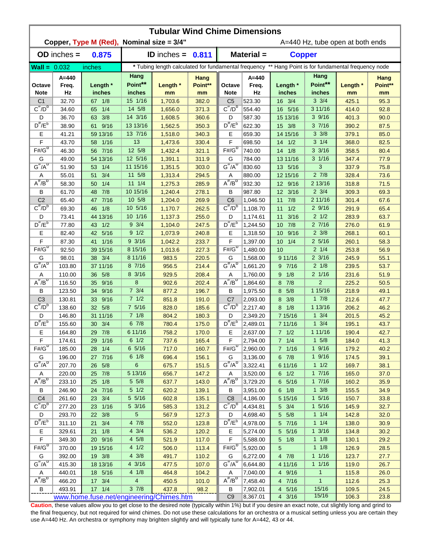|                         | <b>Tubular Wind Chime Dimensions</b> |                                           |                                    |                      |                       |                                     |                          |                                                                                                      |                           |                                  |                       |  |  |
|-------------------------|--------------------------------------|-------------------------------------------|------------------------------------|----------------------|-----------------------|-------------------------------------|--------------------------|------------------------------------------------------------------------------------------------------|---------------------------|----------------------------------|-----------------------|--|--|
|                         |                                      | Copper, Type M (Red), Nominal size = 3/4" |                                    |                      |                       |                                     |                          |                                                                                                      |                           | A=440 Hz, tube open at both ends |                       |  |  |
|                         | $OD$ inches $=$                      | 0.875                                     |                                    | <b>ID</b> inches $=$ | 0.811                 |                                     | Material =               | <b>Copper</b>                                                                                        |                           |                                  |                       |  |  |
| $Wall = 0.032$          |                                      | inches                                    |                                    |                      |                       |                                     |                          | * Tubing length calculated for fundamental frequency ** Hang Point is for fundamental frequency node |                           |                                  |                       |  |  |
| Octave<br><b>Note</b>   | $A = 440$<br>Freq.<br>Hz             | Length *<br>inches                        | Hang<br>Point**<br>inches          | Length *<br>mm       | Hang<br>Point**<br>mm | Octave<br><b>Note</b>               | $A = 440$<br>Freq.<br>Hz | Length *<br>inches                                                                                   | Hang<br>Point**<br>inches | Length *<br>mm                   | Hang<br>Point**<br>mm |  |  |
| C <sub>1</sub>          | 32.70                                | 67 1/8                                    | 15 1/16                            | 1,703.6              | 382.0                 | C <sub>5</sub>                      | 523.30                   | 16 3/4                                                                                               | $3 \frac{3}{4}$           | 425.1                            | 95.3                  |  |  |
| $C^{\frac{\pi}{}}/D^b$  | 34.60                                | 1/4<br>65                                 | 14 5/8                             | 1,656.0              | 371.3                 | $C^{\#}/D^D$                        | 554.40                   | 16 5/16                                                                                              | 3 11/16                   | 414.0                            | 92.8                  |  |  |
| D                       | 36.70                                | 3/8<br>63                                 | 14 3/16                            | 1,608.5              | 360.6                 | D                                   | 587.30                   | 15 13/16                                                                                             | 39/16                     | 401.3                            | 90.0                  |  |  |
| $D^{\#}/E^b$            | 38.90                                | 9/16<br>61                                | 13 13/16                           | 1,562.5              | 350.3                 | $D^{\prime\prime}/E^b$              | 622.30                   | 15 3/8                                                                                               | 37/16                     | 390.2                            | 87.5                  |  |  |
| Е                       | 41.21                                | 59 13/16                                  | 13 7/16                            | 1,518.0              | 340.3                 | Е                                   | 659.30                   | 14 15/16                                                                                             | $3 \frac{3}{8}$           | 379.1                            | 85.0                  |  |  |
| F                       | 43.70                                | 58 1/16                                   | 13                                 | 1,473.6              | 330.4                 | F                                   | 698.50                   | $14 \quad 1/2$                                                                                       | $3 \frac{1}{4}$           | 368.0                            | 82.5                  |  |  |
| $F#/\overline{G}^D$     | 46.30                                | 56 7/16                                   | 12 5/8                             | 1,432.4              | 321.1                 | $F#/G^D$                            | 740.00                   | 14 1/8                                                                                               | $3 \frac{3}{16}$          | 358.5                            | 80.4                  |  |  |
| G                       | 49.00                                | 54 13/16                                  | 12 5/16                            | 1,391.1              | 311.9                 | G                                   | 784.00                   | 13 11/16                                                                                             | $3 \frac{1}{16}$          | 347.4                            | 77.9                  |  |  |
| $G^{\#}/A^D$            | 51.90                                | 1/4<br>53                                 | 11 15/16                           | 1,351.5              | 303.0                 | $G^H/A^D$                           | 830.60                   | 13 5/16                                                                                              | 3                         | 337.9                            | 75.8                  |  |  |
| A                       | 55.01                                | 3/4<br>51                                 | 11 5/8                             | 1,313.4              | 294.5                 | Α                                   | 880.00                   | 12 15/16                                                                                             | $2 \frac{7}{8}$           | 328.4                            | 73.6                  |  |  |
| $A^{\#}/B^D$            | 58.30                                | 1/4<br>50                                 | $11 \t1/4$                         | 1,275.3              | 285.9                 | $A^H/B^D$                           | 932.30                   | 12 9/16                                                                                              | 2 13/16                   | 318.8                            | 71.5                  |  |  |
| В                       | 61.70                                | 7/8<br>48                                 | 10 15/16                           | 1,240.4              | 278.1                 | В                                   | 987.80                   | 12 3/16                                                                                              | $2 \frac{3}{4}$           | 309.3                            | 69.3                  |  |  |
| C <sub>2</sub>          | 65.40                                | 7/16<br>47                                | 10 5/8                             | 1,204.0              | 269.9                 | C <sub>6</sub>                      | 1,046.50                 | 7/8<br>11                                                                                            | 2 11/16                   | 301.4                            | 67.6                  |  |  |
| $C^{\prime\prime}/D^D$  | 69.30                                | 1/8<br>46                                 | 10 5/16                            | 1,170.7              | 262.5                 | $C^{\prime\prime}/D^D$              | 1,108.70                 | 1/2<br>11                                                                                            | 29/16                     | 291.9                            | 65.4                  |  |  |
| D<br>$D^{\pi}/E^b$      | 73.41                                | 44 13/16                                  | 10 1/16                            | 1,137.3              | 255.0                 | D<br>$D^{\pi}/E^b$                  | 1,174.61                 | 3/16<br>11                                                                                           | $2 \frac{1}{2}$           | 283.9                            | 63.7                  |  |  |
|                         | 77.80                                | 43 1/2                                    | $9 \frac{3}{4}$<br>$9 \frac{1}{2}$ | 1,104.0              | 247.5                 |                                     | 1,244.50                 | 7/8<br>10 <sup>°</sup>                                                                               | 27/16<br>$2 \frac{3}{8}$  | 276.0                            | 61.9                  |  |  |
| Е<br>F                  | 82.40                                | 42<br>5/16                                | $9 \frac{3}{16}$                   | 1,073.9              | 240.8                 | Е<br>F                              | 1,318.50                 | 9/16<br>10 <sup>°</sup>                                                                              | $2\;5/16$                 | 268.1                            | 60.1                  |  |  |
| $F# / G^D$              | 87.30<br>92.50                       | 1/16<br>41<br>39 15/16                    | 8 15/16                            | 1,042.2<br>1,013.6   | 233.7<br>227.3        | $F# / G^D$                          | 1,397.00<br>1,480.00     | 1/4<br>10 <sup>°</sup><br>10                                                                         | $2 \frac{1}{4}$           | 260.1<br>253.8                   | 58.3<br>56.9          |  |  |
| G                       | 98.01                                | 38 3/4                                    | 8 11/16                            | 983.5                | 220.5                 | G                                   | 1,568.00                 | 9 11/16                                                                                              | $2 \frac{3}{16}$          | 245.9                            | 55.1                  |  |  |
| $G^{\#}/A^D$            | 103.80                               | 37 11/16                                  | 87/16                              | 956.5                | 214.4                 | $G^{\#}/A^D$                        | 1,661.20                 | 97/16                                                                                                | $2 \frac{1}{8}$           | 239.5                            | 53.7                  |  |  |
| Α                       | 110.00                               | 5/8<br>36                                 | 8 3/16                             | 929.5                | 208.4                 | Α                                   | 1,760.00                 | 1/8<br>9                                                                                             | $2 \frac{1}{16}$          | 231.6                            | 51.9                  |  |  |
| $A^H/B^D$               | 116.50                               | 35<br>9/16                                | 8                                  | 902.6                | 202.4                 | $A^H/B^D$                           | 1,864.60                 | 8 7/8                                                                                                | $\overline{2}$            | 225.2                            | 50.5                  |  |  |
| В                       | 123.50                               | 9/16<br>34                                | $7 \frac{3}{4}$                    | 877.2                | 196.7                 | B                                   | 1,975.50                 | 8 5/8                                                                                                | 1 15/16                   | 218.9                            | 49.1                  |  |  |
| C <sub>3</sub>          | 130.81                               | 9/16<br>33                                | $7 \frac{1}{2}$                    | 851.8                | 191.0                 | C <sub>7</sub>                      | 2,093.00                 | 8 3/8                                                                                                | 17/8                      | 212.6                            | 47.7                  |  |  |
| $C^{\prime\prime}/D^b$  | 138.60                               | 32 5/8                                    | 75/16                              | 828.0                | 185.6                 | $C^{\prime\prime}/D^{\prime\prime}$ | 2.217.40                 | 8 1/8                                                                                                | 1 13/16                   | 206.2                            | 46.2                  |  |  |
| D                       | 146.80                               | 31 11/16                                  | 71/8                               | 804.2                | 180.3                 | D                                   | 2,349.20                 | 7 15/16                                                                                              | $1 \frac{3}{4}$           | 201.5                            | 45.2                  |  |  |
| $D^{\prime\prime}/E^b$  | 155.60                               | 3/4<br>30 <sup>°</sup>                    | 67/8                               | 780.4                | 175.0                 | $D^{\#}/E^b$                        | 2,489.01                 | 7 11/16                                                                                              | $1 \frac{3}{4}$           | 195.1                            | 43.7                  |  |  |
| Е                       | 164.80                               | 29 7/8                                    | 6 11/16                            | 758.2                | 170.0                 | Е                                   | 2,637.00                 | $7 \t1/2$                                                                                            | 1 11/16                   | 190.4                            | 42.7                  |  |  |
| F                       | 174.61                               | 29 1/16                                   | $6 \frac{1}{2}$                    | 737.6                | 165.4                 | F                                   | 2,794.00                 | $7 \t1/4$                                                                                            | $1 \t5/8$                 | 184.0                            | 41.3                  |  |  |
| $F# / G^D$              | 185.00                               | 28 1/4                                    | 6 5/16                             | 717.0                | 160.7                 | $F#/\overline{G}^D$                 | 2,960.00                 | 7 1/16                                                                                               | 19/16                     | 179.2                            | 40.2                  |  |  |
| G                       | 196.00                               | 27 7/16                                   | $6 \t1/8$                          | 696.4                | 156.1                 | G                                   | 3,136.00                 | 6 7/8                                                                                                | 19/16                     | 174.5                            | 39.1                  |  |  |
| $G^{\#}/A^D$            | 207.70                               | 26 5/8                                    | 6                                  | 675.7                | 151.5                 | $G^H/A^D$                           | 3,322.41                 | 6 11/16                                                                                              | 11/2                      | 169.7                            | 38.1                  |  |  |
| Α                       | 220.00                               | 25 7/8                                    | 5 13/16                            | 656.7                | 147.2                 | Α                                   | 3,520.00                 | $6 \t1/2$                                                                                            | 17/16                     | 165.0                            | 37.0                  |  |  |
| $A^{\#}/B^D$            | 233.10                               | 25 1/8                                    | $5 \frac{5}{8}$                    | 637.7                | 143.0                 | $A^{\overline{n}}/B^{\overline{D}}$ | 3,729.20                 | 6 5/16                                                                                               | 17/16                     | 160.2                            | 35.9                  |  |  |
| В                       | 246.90                               | 24 7/16                                   | $5\quad1/2$                        | 620.2                | 139.1                 | В                                   | 3,951.00                 | $6 \t1/8$                                                                                            | $1 \frac{3}{8}$           | 155.5                            | 34.9                  |  |  |
| C <sub>4</sub>          | 261.60                               | 23 3/4                                    | 5 5/16                             | 602.8                | 135.1                 | C <sub>8</sub>                      | 4,186.00                 | 5 15/16                                                                                              | $1 \frac{5}{16}$          | 150.7                            | 33.8                  |  |  |
| $C^{\frac{\pi}{}}/D^b$  | 277.20                               | 23 1/16                                   | 5 3/16                             | 585.3                | 131.2                 | $C^{\#}/D^D$                        | 4,434.81                 | $5 \frac{3}{4}$                                                                                      | $1 \frac{5}{16}$          | 145.9                            | 32.7                  |  |  |
| D                       | 293.70                               | 3/8<br>22                                 | 5                                  | 567.9                | 127.3                 | D                                   | 4,698.40                 | 5 5/8                                                                                                | $1 \t1/4$                 | 142.8                            | 32.0                  |  |  |
| $D^{\frac{\pi}{r}}/E^b$ | 311.10                               | 3/4<br>21                                 | 4 7/8                              | 552.0                | 123.8                 | $D^{\#}/E^b$                        | 4,978.00                 | 5 7/16                                                                                               | $1 \t1/4$                 | 138.0                            | 30.9                  |  |  |
| Е                       | 329.61                               | $21 \t1/8$                                | $4 \frac{3}{4}$                    | 536.2                | 120.2                 | Е                                   | 5,274.00                 | 5 5/16                                                                                               | $1 \frac{3}{16}$          | 134.8                            | 30.2                  |  |  |
| F<br>$F# / G^D$         | 349.30                               | 20 9/16                                   | $4\,5/8$                           | 521.9                | 117.0                 | F<br>$F# / G^D$                     | 5,588.00                 | $5 \t1/8$                                                                                            | $1 \t1/8$<br>$1 \t1/8$    | 130.1                            | 29.2                  |  |  |
|                         | 370.00                               | 19 15/16                                  | 4 1/2<br>$4 \frac{3}{8}$           | 506.0                | 113.4                 |                                     | 5,920.00                 | 5                                                                                                    | 11/16                     | 126.9                            | 28.5                  |  |  |
| G<br>$G^{\#}/A^D$       | 392.00<br>415.30                     | 19 3/8<br>18 13/16                        | 4 3/16                             | 491.7<br>477.5       | 110.2<br>107.0        | G<br>$G''/A^D$                      | 6,272.00<br>6,644.80     | 4 7/8<br>4 11/16                                                                                     | 11/16                     | 123.7<br>119.0                   | 27.7<br>26.7          |  |  |
| A                       | 440.01                               | 18 5/16                                   | $4 \frac{1}{8}$                    | 464.8                | 104.2                 | Α                                   | 7,040.00                 | 4 9/16                                                                                               | $\overline{1}$            | 115.8                            | 26.0                  |  |  |
| $A^H/B^D$               | 466.20                               | 17 3/4                                    | $\overline{4}$                     | 450.5                | 101.0                 | $A^H/B^D$                           | 7,458.40                 | 4 7/16                                                                                               | $\mathbf{1}$              | 112.6                            | 25.3                  |  |  |
| В                       | 493.91                               | 17 1/4                                    | $3 \t7/8$                          | 437.8                | 98.2                  | B                                   | 7,902.01                 | 4 5/16                                                                                               | 15/16                     | 109.5                            | 24.5                  |  |  |
|                         |                                      | www.home.fuse.net/engineering/Chimes.htm  |                                    |                      |                       | C <sub>9</sub>                      | 8,367.01                 | 4 3/16                                                                                               | 15/16                     | 106.3                            | 23.8                  |  |  |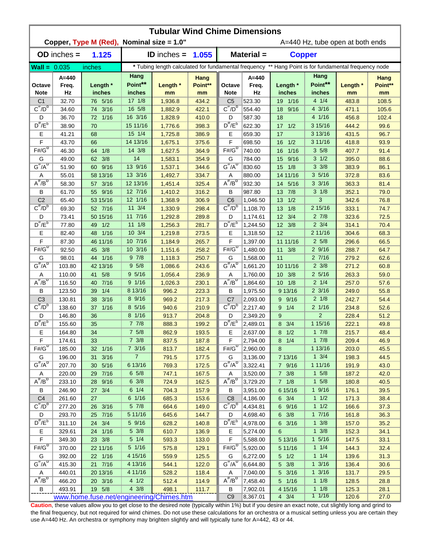|                         | <b>Tubular Wind Chime Dimensions</b> |                                           |                              |                                                                                                      |                       |                                          |                          |                         |                                     |                                  |                       |  |  |
|-------------------------|--------------------------------------|-------------------------------------------|------------------------------|------------------------------------------------------------------------------------------------------|-----------------------|------------------------------------------|--------------------------|-------------------------|-------------------------------------|----------------------------------|-----------------------|--|--|
|                         |                                      | Copper, Type M (Red), Nominal size = 1.0" |                              |                                                                                                      |                       |                                          |                          |                         |                                     | A=440 Hz, tube open at both ends |                       |  |  |
|                         | $OD$ inches $=$                      | 1.125                                     |                              | <b>ID</b> inches $=$                                                                                 | 1.055                 |                                          | Material =               | <b>Copper</b>           |                                     |                                  |                       |  |  |
| $Wall = 0.035$          |                                      | inches                                    |                              | * Tubing length calculated for fundamental frequency ** Hang Point is for fundamental frequency node |                       |                                          |                          |                         |                                     |                                  |                       |  |  |
| Octave<br><b>Note</b>   | $A = 440$<br>Freq.<br>Hz             | Length *<br>inches                        | Hang<br>Point**<br>inches    | Length *<br>mm                                                                                       | Hang<br>Point**<br>mm | Octave<br><b>Note</b>                    | $A = 440$<br>Freq.<br>Hz | Length *<br>inches      | Hang<br>Point**<br>inches           | Length *<br>mm                   | Hang<br>Point**<br>mm |  |  |
| C <sub>1</sub>          | 32.70                                | 76 5/16                                   | $17 \frac{1}{8}$             | 1,936.8                                                                                              | 434.2                 | C <sub>5</sub>                           | 523.30                   | 19 1/16                 | $4 \t1/4$                           | 483.8                            | 108.5                 |  |  |
| $C^{\frac{\pi}{}}/D^b$  | 34.60                                | 3/16<br>74                                | 16 5/8                       | 1,882.9                                                                                              | 422.1                 | $C^{\#}/D^D$                             | 554.40                   | 18 9/16                 | 4 3/16                              | 471.1                            | 105.6                 |  |  |
| D                       | 36.70                                | $1/16$<br>72                              | 16 3/16                      | 1,828.9                                                                                              | 410.0                 | D                                        | 587.30                   | 18                      | 4 1/16                              | 456.8                            | 102.4                 |  |  |
| $D^{\#}/E^b$            | 38.90                                | 70                                        | 15 11/16                     | 1,776.6                                                                                              | 398.3                 | $D^{\prime\prime}/E^b$                   | 622.30                   | $17 \t1/2$              | 3 15/16                             | 444.2                            | 99.6                  |  |  |
| Е                       | 41.21                                | 68                                        | 15 1/4                       | 1,725.8                                                                                              | 386.9                 | Е                                        | 659.30                   | 17                      | 3 13/16                             | 431.5                            | 96.7                  |  |  |
| F                       | 43.70                                | 66                                        | 14 13/16                     | 1,675.1                                                                                              | 375.6                 | F                                        | 698.50                   | 1/2<br>16               | 3 11/16                             | 418.8                            | 93.9                  |  |  |
| $F#/\overline{G}^D$     | 46.30                                | 1/8<br>64                                 | 14 3/8                       | 1,627.5                                                                                              | 364.9                 | $F# / G^D$                               | 740.00                   | 1/16<br>16              | 35/8                                | 407.7                            | 91.4                  |  |  |
| G                       | 49.00                                | 3/8<br>62                                 | 14                           | 1,583.1                                                                                              | 354.9                 | G                                        | 784.00                   | 9/16<br>15 <sub>1</sub> | $3 \frac{1}{2}$                     | 395.0                            | 88.6                  |  |  |
| $G^{\#}/A^D$            | 51.90                                | 60 9/16                                   | 13 9/16                      | 1,537.1                                                                                              | 344.6                 | $G^H/A^D$                                | 830.60                   | 1/8<br>15               | $3 \frac{3}{8}$                     | 383.9                            | 86.1                  |  |  |
| A<br>$A^{\#}/B^D$       | 55.01                                | 58 13/16                                  | 13 3/16                      | 1,492.7                                                                                              | 334.7                 | Α<br>$A^H/B^D$                           | 880.00                   | 14 11/16                | 35/16                               | 372.8                            | 83.6                  |  |  |
|                         | 58.30                                | 57 3/16                                   | 12 13/16<br>12 7/16          | 1,451.4                                                                                              | 325.4                 |                                          | 932.30                   | 5/16<br>14              | $3 \frac{3}{16}$<br>$3 \frac{1}{8}$ | 363.3                            | 81.4                  |  |  |
| В<br>C <sub>2</sub>     | 61.70<br>65.40                       | 55 9/16<br>53 15/16                       | 12 1/16                      | 1,410.2<br>1,368.9                                                                                   | 316.2<br>306.9        | В<br>C <sub>6</sub>                      | 987.80<br>1,046.50       | 7/8<br>13<br>1/2<br>13  | 3                                   | 352.1<br>342.6                   | 79.0<br>76.8          |  |  |
| $C^{\prime\prime}/D^D$  | 69.30                                | 52 7/16                                   | 11 3/4                       | 1,330.9                                                                                              | 298.4                 | $C^{\prime\prime}/D^D$                   | 1,108.70                 | 1/8<br>13               | 2 15/16                             | 333.1                            | 74.7                  |  |  |
| D                       | 73.41                                | 50 15/16                                  | 11 7/16                      | 1,292.8                                                                                              | 289.8                 | D                                        | 1,174.61                 | 12 3/4                  | $2 \frac{7}{8}$                     | 323.6                            | 72.5                  |  |  |
| $D^{\pi}/E^b$           | 77.80                                | 49 1/2                                    | $11 \t1/8$                   | 1,256.3                                                                                              | 281.7                 | $D^{\pi}/E^b$                            | 1,244.50                 | 12 3/8                  | $2 \frac{3}{4}$                     | 314.1                            | 70.4                  |  |  |
| Е                       | 82.40                                | 1/16<br>48                                | 10 3/4                       | 1,219.8                                                                                              | 273.5                 | Е                                        | 1,318.50                 | 12                      | 2 11/16                             | 304.6                            | 68.3                  |  |  |
| F                       | 87.30                                | 46 11/16                                  | 10 7/16                      | 1,184.9                                                                                              | 265.7                 | F                                        | 1,397.00                 | 11 11/16                | $2\,5/8$                            | 296.6                            | 66.5                  |  |  |
| $F# / G^D$              | 92.50                                | 3/8<br>45                                 | 10 3/16                      | 1,151.6                                                                                              | 258.2                 | $F# / G^D$                               | 1,480.00                 | $11 \t3/8$              | 29/16                               | 288.7                            | 64.7                  |  |  |
| G                       | 98.01                                | 1/16<br>44                                | 97/8                         | 1,118.3                                                                                              | 250.7                 | G                                        | 1,568.00                 | 11                      | 27/16                               | 279.2                            | 62.6                  |  |  |
| $G^{\#}/A^D$            | 103.80                               | 42 13/16                                  | 95/8                         | 1,086.6                                                                                              | 243.6                 | $G^{\#}/A^D$                             | 1,661.20                 | 10 11/16                | $2 \frac{3}{8}$                     | 271.2                            | 60.8                  |  |  |
| Α                       | 110.00                               | 5/8<br>41                                 | 9 5/16                       | 1,056.4                                                                                              | 236.9                 | Α                                        | 1,760.00                 | 10 3/8                  | $2\,5/16$                           | 263.3                            | 59.0                  |  |  |
| $A^H/B^D$               | 116.50                               | 7/16<br>40                                | 9 1/16                       | 1,026.3                                                                                              | 230.1                 | $A^{\#}/B^D$                             | 1,864.60                 | $10 \t1/8$              | $2 \frac{1}{4}$                     | 257.0                            | 57.6                  |  |  |
| В                       | 123.50                               | 1/4<br>39                                 | 8 13/16                      | 996.2                                                                                                | 223.3                 | B                                        | 1,975.50                 | 9 13/16                 | $2 \frac{3}{16}$                    | 249.0                            | 55.8                  |  |  |
| C <sub>3</sub>          | 130.81                               | 3/16<br>38                                | 8 9/16                       | 969.2                                                                                                | 217.3                 | C <sub>7</sub>                           | 2,093.00                 | 9 9/16                  | $2 \frac{1}{8}$                     | 242.7                            | 54.4                  |  |  |
| $C^{\prime\prime}/D^b$  | 138.60                               | 37<br>1/16                                | 8 5/16                       | 940.6                                                                                                | 210.9                 | $C^{\prime\prime}/D^{\prime\prime}$      | 2.217.40                 | 1/4<br>9                | $2 \frac{1}{16}$                    | 234.8                            | 52.6                  |  |  |
| D                       | 146.80                               | 36                                        | 8 1/16                       | 913.7                                                                                                | 204.8                 | D                                        | 2,349.20                 | 9                       | $\overline{2}$                      | 228.4                            | 51.2                  |  |  |
| $D^{\prime\prime}/E^b$  | 155.60                               | 35                                        | 77/8                         | 888.3                                                                                                | 199.2                 | $D^{\#}/E^b$                             | 2,489.01                 | 3/4<br>8                | 1 15/16                             | 222.1                            | 49.8                  |  |  |
| Е                       | 164.80                               | 34                                        | 75/8                         | 862.9                                                                                                | 193.5                 | Е                                        | 2,637.00                 | $8 \t1/2$               | 17/8                                | 215.7                            | 48.4                  |  |  |
| F                       | 174.61                               | 33                                        | 7 3/8                        | 837.5                                                                                                | 187.8                 | F                                        | 2,794.00                 | $8 \t1/4$               | 17/8                                | 209.4                            | 46.9                  |  |  |
| $F# / G^{D}$            | 185.00                               | 32 1/16                                   | 7 3/16                       | 813.7                                                                                                | 182.4                 | $F#/\overline{G}^D$                      | 2,960.00                 | 8                       | 1 13/16                             | 203.0                            | 45.5                  |  |  |
| G                       | 196.00                               | 31 3/16                                   | $\overline{7}$               | 791.5                                                                                                | 177.5                 | G                                        | 3,136.00                 | 7 13/16                 | $1 \frac{3}{4}$                     | 198.3                            | 44.5                  |  |  |
| $G^{\#}/A^D$            | 207.70                               | 30 5/16                                   | 6 13/16                      | 769.3                                                                                                | 172.5                 | $G^H/A^D$                                | 3,322.41                 | 7 9/16                  | 1 11/16                             | 191.9                            | 43.0                  |  |  |
| Α<br>$A^{\#}/B^D$       | 220.00                               | 29 7/16                                   | $6\;5/8$                     | 747.1                                                                                                | 167.5                 | Α<br>$A^{\overline{n}}/B^{\overline{D}}$ | 3,520.00                 | $7 \frac{3}{8}$         | $1 \t5/8$                           | 187.2                            | 42.0                  |  |  |
|                         | 233.10                               | 28 9/16                                   | $6 \frac{3}{8}$<br>$6 \t1/4$ | 724.9                                                                                                | 162.5                 |                                          | 3,729.20                 | $7 \t1/8$               | $1 \t5/8$<br>19/16                  | 180.8                            | 40.5                  |  |  |
| В<br>C <sub>4</sub>     | 246.90<br>261.60                     | 27 3/4<br>27                              | 6 1/16                       | 704.3<br>685.3                                                                                       | 157.9<br>153.6        | В<br>C <sub>8</sub>                      | 3,951.00<br>4,186.00     | 6 15/16<br>$6 \t3/4$    | 11/2                                | 176.1<br>171.3                   | 39.5<br>38.4          |  |  |
| $C^{\frac{\pi}{}}/D^b$  | 277.20                               | 26 3/16                                   | $5\,$ $7/8\,$                | 664.6                                                                                                | 149.0                 | $C^{\#}/D^D$                             | 4,434.81                 | 6 9/16                  | 11/2                                | 166.6                            | 37.3                  |  |  |
| D                       | 293.70                               | 25 7/16                                   | 5 11/16                      | 645.6                                                                                                | 144.7                 | D                                        | 4,698.40                 | $6 \frac{3}{8}$         | 17/16                               | 161.8                            | 36.3                  |  |  |
| $D^{\frac{\pi}{r}}/E^b$ | 311.10                               | 24 3/4                                    | 5 9/16                       | 628.2                                                                                                | 140.8                 | $D^{\#}/E^b$                             | 4,978.00                 | 6 3/16                  | $1 \frac{3}{8}$                     | 157.0                            | 35.2                  |  |  |
| Е                       | 329.61                               | 24 1/16                                   | $5 \frac{3}{8}$              | 610.7                                                                                                | 136.9                 | Е                                        | 5,274.00                 | 6                       | $1 \frac{3}{8}$                     | 152.3                            | 34.1                  |  |  |
| F                       | 349.30                               | 23 3/8                                    | $5 \t1/4$                    | 593.3                                                                                                | 133.0                 | F                                        | 5,588.00                 | 5 13/16                 | $1 \frac{5}{16}$                    | 147.5                            | 33.1                  |  |  |
| $F# / G^D$              | 370.00                               | 22 11/16                                  | 5 1/16                       | 575.8                                                                                                | 129.1                 | $F# / G^{D}$                             | 5,920.00                 | 5 11/16                 | $1 \t1/4$                           | 144.3                            | 32.4                  |  |  |
| G                       | 392.00                               | 22 1/16                                   | 4 15/16                      | 559.9                                                                                                | 125.5                 | G                                        | 6,272.00                 | $5 \t1/2$               | $1 \t1/4$                           | 139.6                            | 31.3                  |  |  |
| $G^{\#}/A^D$            | 415.30                               | 21 7/16                                   | 4 13/16                      | 544.1                                                                                                | 122.0                 | $G''/A^D$                                | 6,644.80                 | 5 3/8                   | $1 \frac{3}{16}$                    | 136.4                            | 30.6                  |  |  |
| A                       | 440.01                               | 20 13/16                                  | 4 11/16                      | 528.2                                                                                                | 118.4                 | Α                                        | 7,040.00                 | 5 3/16                  | $1 \frac{3}{16}$                    | 131.7                            | 29.5                  |  |  |
| $A^H/B^D$               | 466.20                               | 20 3/16                                   | $4 \frac{1}{2}$              | 512.4                                                                                                | 114.9                 | $A^H/B^D$                                | 7,458.40                 | 5 1/16                  | $1 \t1/8$                           | 128.5                            | 28.8                  |  |  |
| В                       | 493.91                               | 19 5/8                                    | $4 \frac{3}{8}$              | 498.1                                                                                                | 111.7                 | B                                        | 7,902.01                 | 4 15/16                 | $1 \t1/8$                           | 125.3                            | 28.1                  |  |  |
|                         |                                      | www.home.fuse.net/engineering/Chimes.htm  |                              |                                                                                                      |                       | C <sub>9</sub>                           | 8,367.01                 | $4 \t3/4$               | 11/16                               | 120.6                            | 27.0                  |  |  |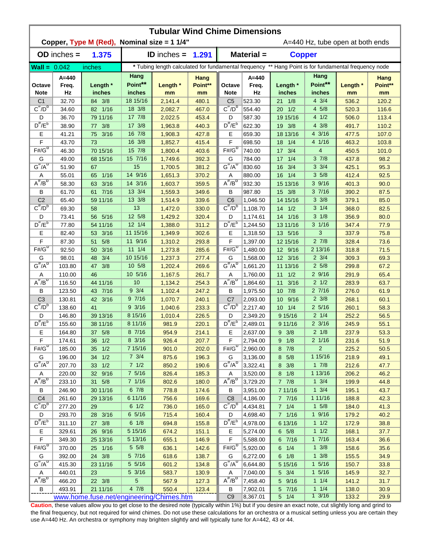|                                          | <b>Tubular Wind Chime Dimensions</b><br>Copper, Type M (Red), Nominal size = 1 1/4"<br>A=440 Hz, tube open at both ends |                                          |                           |                    |                       |                                                                                                      |                      |                           |                                      |                |                       |  |  |
|------------------------------------------|-------------------------------------------------------------------------------------------------------------------------|------------------------------------------|---------------------------|--------------------|-----------------------|------------------------------------------------------------------------------------------------------|----------------------|---------------------------|--------------------------------------|----------------|-----------------------|--|--|
|                                          | $OD$ inches $=$                                                                                                         | 1.375                                    |                           | ID inches $=$      | 1.291                 | Material =<br><b>Copper</b>                                                                          |                      |                           |                                      |                |                       |  |  |
| $\text{Wall} = 0.042$                    |                                                                                                                         | inches                                   |                           |                    |                       | * Tubing length calculated for fundamental frequency ** Hang Point is for fundamental frequency node |                      |                           |                                      |                |                       |  |  |
|                                          |                                                                                                                         |                                          | Hang                      |                    |                       |                                                                                                      | $A = 440$            |                           | Hang                                 |                |                       |  |  |
| Octave<br><b>Note</b>                    | $A = 440$<br>Freq.<br>Hz                                                                                                | Length *<br>inches                       | Point**<br>inches         | Length *<br>mm     | Hang<br>Point**<br>mm | Octave<br><b>Note</b>                                                                                | Freq.<br>Hz          | Length *<br>inches        | Point**<br>inches                    | Length *<br>mm | Hang<br>Point**<br>mm |  |  |
| C <sub>1</sub>                           | 32.70                                                                                                                   | 84 3/8                                   | 18 15/16                  | 2,141.4            | 480.1                 | C <sub>5</sub>                                                                                       | 523.30               | $21 \t1/8$                | $4 \frac{3}{4}$                      | 536.2          | 120.2                 |  |  |
| $C^{\frac{\pi}{}}/D^b$                   | 34.60                                                                                                                   | 82 1/16                                  | 18 3/8                    | 2,082.7            | 467.0                 | $C^{\#}/D^D$                                                                                         | 554.40               | $20 \t1/2$                | 4 5/8                                | 520.3          | 116.6                 |  |  |
| D                                        | 36.70                                                                                                                   | 79 11/16                                 | 17 7/8                    | 2,022.5            | 453.4                 | D                                                                                                    | 587.30               | 19 15/16                  | 41/2                                 | 506.0          | 113.4                 |  |  |
| $D^{\#}/E^b$                             | 38.90                                                                                                                   | 3/8<br>77                                | 17 3/8                    | 1,963.8            | 440.3                 | $D^{\prime\prime}/E^b$                                                                               | 622.30               | 19 3/8                    | $4 \frac{3}{8}$                      | 491.7          | 110.2                 |  |  |
| Ε                                        | 41.21                                                                                                                   | 3/16<br>75                               | 16 7/8                    | 1,908.3            | 427.8                 | Е                                                                                                    | 659.30               | 18 13/16                  | 4 3/16                               | 477.5          | 107.0                 |  |  |
| F                                        | 43.70                                                                                                                   | 73                                       | 16 3/8                    | 1,852.7            | 415.4                 | F                                                                                                    | 698.50               | 1/4<br>18                 | 4 1/16                               | 463.2          | 103.8                 |  |  |
| $F# / G^D$                               | 46.30                                                                                                                   | 70 15/16                                 | 15 7/8                    | 1,800.4            | 403.6                 | $F# / G^D$                                                                                           | 740.00               | 17 3/4                    | 4                                    | 450.5          | 101.0                 |  |  |
| G                                        | 49.00                                                                                                                   | 68 15/16                                 | 15 7/16                   | 1,749.6            | 392.3                 | G                                                                                                    | 784.00               | 1/4<br>17                 | 37/8                                 | 437.8          | 98.2                  |  |  |
| $G^{\#}/A^D$                             | 51.90                                                                                                                   | 67                                       | 15                        | 1,700.5            | 381.2                 | $G^{\#}/A^D$                                                                                         | 830.60               | 3/4<br>16                 | $3 \frac{3}{4}$                      | 425.1          | 95.3                  |  |  |
| Α                                        | 55.01                                                                                                                   | 1/16<br>65                               | 14 9/16                   | 1,651.3            | 370.2                 | Α                                                                                                    | 880.00               | 16<br>1/4                 | 35/8                                 | 412.4          | 92.5                  |  |  |
| $A^H/B^D$                                | 58.30                                                                                                                   | 63 3/16                                  | 14 3/16                   | 1,603.7            | 359.5                 | $\overline{A^{\#}/B^D}$                                                                              | 932.30               | 15 13/16                  | 39/16                                | 401.3          | 90.0                  |  |  |
| B                                        | 61.70                                                                                                                   | 61 7/16                                  | 13 3/4                    | 1,559.3            | 349.6                 | B                                                                                                    | 987.80               | 15 3/8                    | 37/16                                | 390.2          | 87.5                  |  |  |
| C <sub>2</sub><br>$C^{\prime\prime}/D^D$ | 65.40                                                                                                                   | 59 11/16                                 | 13 3/8                    | 1,514.9            | 339.6                 | C <sub>6</sub>                                                                                       | 1.046.50             | 14 15/16                  | $3 \frac{3}{8}$                      | 379.1          | 85.0                  |  |  |
|                                          | 69.30                                                                                                                   | 58                                       | 13                        | 1,472.0            | 330.0                 | $C^{\prime\prime}/D^D$                                                                               | 1,108.70             | $14 \frac{1}{2}$          | $3 \frac{1}{4}$                      | 368.0          | 82.5                  |  |  |
| D<br>$D^{\frac{\pi}{}}/E^b$              | 73.41                                                                                                                   | 5/16<br>56                               | 12 5/8<br>12 1/4          | 1,429.2            | 320.4                 | D<br>$D^{\#}/E^b$                                                                                    | 1,174.61             | 14 1/16                   | $3 \frac{1}{8}$<br>$3 \frac{1}{16}$  | 356.9          | 80.0                  |  |  |
| Е                                        | 77.80<br>82.40                                                                                                          | 54 11/16<br>53 3/16                      | 11 15/16                  | 1,388.0<br>1,349.9 | 311.2<br>302.6        | Е                                                                                                    | 1,244.50<br>1,318.50 | 13 11/16<br>13 5/16       | 3                                    | 347.4<br>337.9 | 77.9<br>75.8          |  |  |
| F                                        | 87.30                                                                                                                   | 5/8<br>51                                | 11 9/16                   | 1,310.2            | 293.8                 | F                                                                                                    | 1,397.00             | 12 15/16                  | $2 \frac{7}{8}$                      | 328.4          | 73.6                  |  |  |
| $F# / G^D$                               | 92.50                                                                                                                   | 3/16<br>50                               | $11 \t1/4$                | 1,273.8            | 285.6                 | $F# / G^D$                                                                                           | 1,480.00             | 12 9/16                   | 2 13/16                              | 318.8          | 71.5                  |  |  |
| G                                        | 98.01                                                                                                                   | 3/4<br>48                                | 10 15/16                  | 1,237.3            | 277.4                 | G                                                                                                    | 1,568.00             | 12 3/16                   | $2 \frac{3}{4}$                      | 309.3          | 69.3                  |  |  |
| $G^{\#}/A^D$                             | 103.80                                                                                                                  | 3/8<br>47                                | $10 \t5/8$                | 1,202.4            | 269.6                 | $G^{\#}/A^D$                                                                                         | 1,661.20             | 11 13/16                  | 25/8                                 | 299.8          | 67.2                  |  |  |
| Α                                        | 110.00                                                                                                                  | 46                                       | 10 5/16                   | 1,167.5            | 261.7                 | Α                                                                                                    | 1,760.00             | 1/2<br>11                 | 29/16                                | 291.9          | 65.4                  |  |  |
| $A^H/B^D$                                | 116.50                                                                                                                  | 44 11/16                                 | 10                        | 1,134.2            | 254.3                 | $A^{\overline{n}}/B^{\overline{D}}$                                                                  | 1,864.60             | 3/16<br>11                | $2 \frac{1}{2}$                      | 283.9          | 63.7                  |  |  |
| В                                        | 123.50                                                                                                                  | 43 7/16                                  | $9 \frac{3}{4}$           | 1,102.4            | 247.2                 | В                                                                                                    | 1,975.50             | 10 7/8                    | 27/16                                | 276.0          | 61.9                  |  |  |
| C <sub>3</sub>                           | 130.81                                                                                                                  | 3/16<br>42                               | 97/16                     | 1,070.7            | 240.1                 | C <sub>7</sub>                                                                                       | 2,093.00             | 10 9/16                   | $2 \frac{3}{8}$                      | 268.1          | 60.1                  |  |  |
| $C^{\overline{r}}/D^b$                   | 138.60                                                                                                                  | 41                                       | $9 \frac{3}{16}$          | 1,040.6            | 233.3                 | $C^{\#}/D^b$                                                                                         | 2,217.40             | $10 \t1/4$                | $2\frac{5}{16}$                      | 260.1          | 58.3                  |  |  |
| D                                        | 146.80                                                                                                                  | 39 13/16                                 | 8 15/16                   | 1,010.4            | 226.5                 | D                                                                                                    | 2,349.20             | 9 15/16                   | $2 \frac{1}{4}$                      | 252.2          | 56.5                  |  |  |
| $D^{\prime\prime}/E^b$                   | 155.60                                                                                                                  | 38 11/16                                 | 8 11/16                   | 981.9              | 220.1                 | $D^{\#}/E^b$                                                                                         | 2,489.01             | 9 11/16                   | $2 \frac{3}{16}$                     | 245.9          | 55.1                  |  |  |
| Е                                        | 164.80                                                                                                                  | 37 5/8                                   | 87/16                     | 954.9              | 214.1                 | Е                                                                                                    | 2,637.00             | $9 \frac{3}{8}$           | $2 \frac{1}{8}$                      | 237.9          | 53.3                  |  |  |
| F                                        | 174.61                                                                                                                  | 36 1/2                                   | $8 \frac{3}{16}$          | 926.4              | 207.7                 | F                                                                                                    | 2,794.00             | $9 \t1/8$                 | 2 1/16                               | 231.6          | 51.9                  |  |  |
| $F# / G^D$                               | 185.00                                                                                                                  | 35 1/2                                   | 7 15/16                   | 901.0              | 202.0                 | $F#/\overline{G}^D$                                                                                  | 2,960.00             | 8 7/8                     | $\overline{2}$                       | 225.2          | 50.5                  |  |  |
| G                                        | 196.00                                                                                                                  | 34 1/2                                   | $7 \frac{3}{4}$           | 875.6              | 196.3                 | G                                                                                                    | 3,136.00             | 8 5/8                     | 1 15/16                              | 218.9          | 49.1                  |  |  |
| $G^{\#}/A^D$                             | 207.70                                                                                                                  | 33 1/2                                   | 71/2                      | 850.2              | 190.6                 | $G^H/A^D$                                                                                            | 3,322.41             | 8 3/8                     | $1 \t7/8$                            | 212.6          | 47.7                  |  |  |
| Α                                        | 220.00                                                                                                                  | 32 9/16                                  | 7 5/16                    | 826.4              | 185.3                 | Α                                                                                                    | 3,520.00             | $8 \t1/8$                 | 1 13/16                              | 206.2          | 46.2                  |  |  |
| $A^{\#}/B^D$                             | 233.10                                                                                                                  | 31 5/8                                   | 7 1/16                    | 802.6              | 180.0                 | $A^{\overline{n}}/B^D$                                                                               | 3,729.20             | $7 \t7/8$                 | $1 \frac{3}{4}$                      | 199.9          | 44.8                  |  |  |
| В                                        | 246.90                                                                                                                  | 30 11/16                                 | 67/8                      | 778.8              | 174.6                 | В                                                                                                    | 3,951.00             | 7 11/16                   | $1 \frac{3}{4}$                      | 195.1          | 43.7                  |  |  |
| C <sub>4</sub>                           | 261.60                                                                                                                  | 29 13/16                                 | 6 11/16                   | 756.6              | 169.6                 | C <sub>8</sub>                                                                                       | 4,186.00             | 7 7/16                    | 1 11/16                              | 188.8          | 42.3                  |  |  |
| $C^{\overline{r}}/D^b$                   | 277.20                                                                                                                  | 29                                       | $6 \frac{1}{2}$           | 736.0              | 165.0                 | $C^{\pi}/D^b$                                                                                        | 4,434.81             | $7 \quad 1/4$             | $1 \t5/8$                            | 184.0          | 41.3                  |  |  |
| D                                        | 293.70                                                                                                                  | 28 3/16                                  | 6 5/16                    | 715.4              | 160.4                 | D                                                                                                    | 4,698.40             | 7 1/16                    | $1 \frac{9}{16}$                     | 179.2          | 40.2                  |  |  |
| $D^{\frac{\pi}{r}}/E^b$                  | 311.10                                                                                                                  | 27 3/8                                   | $6 \frac{1}{8}$           | 694.8              | 155.8                 | $D^{\#}/E^b$                                                                                         | 4,978.00             | 6 13/16                   | 11/2                                 | 172.9          | 38.8                  |  |  |
| Е                                        | 329.61                                                                                                                  | 26 9/16                                  | 5 15/16                   | 674.2              | 151.1                 | Е                                                                                                    | 5,274.00             | $6\quad 5/8$              | $1 \frac{1}{2}$                      | 168.1          | 37.7                  |  |  |
| F<br>$F# / G^D$                          | 349.30                                                                                                                  | 25 13/16                                 | 5 13/16                   | 655.1              | 146.9                 | F                                                                                                    | 5,588.00             | 6 7/16                    | 17/16                                | 163.4          | 36.6                  |  |  |
|                                          | 370.00                                                                                                                  | 25 1/16                                  | $5 \frac{5}{8}$<br>5 7/16 | 636.1              | 142.6                 | $F# / G^D$                                                                                           | 5,920.00             | $6 \t1/4$                 | $1 \frac{3}{8}$                      | 158.6          | 35.6                  |  |  |
| G<br>$G^{\#}/A^D$                        | 392.00                                                                                                                  | 24 3/8                                   |                           | 618.6              | 138.7                 | G<br>$G^H/A^D$                                                                                       | 6,272.00             | $6 \t1/8$                 | $1 \frac{3}{8}$                      | 155.5          | 34.9                  |  |  |
|                                          | 415.30                                                                                                                  | 23 11/16                                 | 5 5/16<br>5 3/16          | 601.2              | 134.8                 |                                                                                                      | 6,644.80             | 5 15/16                   | $1 \frac{5}{16}$<br>$1 \frac{5}{16}$ | 150.7          | 33.8                  |  |  |
| A<br>$A^{\#}/B^D$                        | 440.01                                                                                                                  | 23<br>22 3/8                             | $\sqrt{5}$                | 583.7              | 130.9                 | A<br>$A^H/B^D$                                                                                       | 7,040.00             | $5 \frac{3}{4}$<br>5 9/16 | $1 \t1/4$                            | 145.9          | 32.7<br>31.7          |  |  |
| B                                        | 466.20<br>493.91                                                                                                        | 21 11/16                                 | 4 7/8                     | 567.9<br>550.4     | 127.3<br>123.4        | В                                                                                                    | 7,458.40<br>7,902.01 | 5 7/16                    | 11/4                                 | 141.2<br>138.0 | 30.9                  |  |  |
|                                          |                                                                                                                         | www.home.fuse.net/engineering/Chimes.htm |                           |                    |                       | C <sub>9</sub>                                                                                       | 8,367.01             | $5 \t1/4$                 | $1 \frac{3}{16}$                     | 133.2          | 29.9                  |  |  |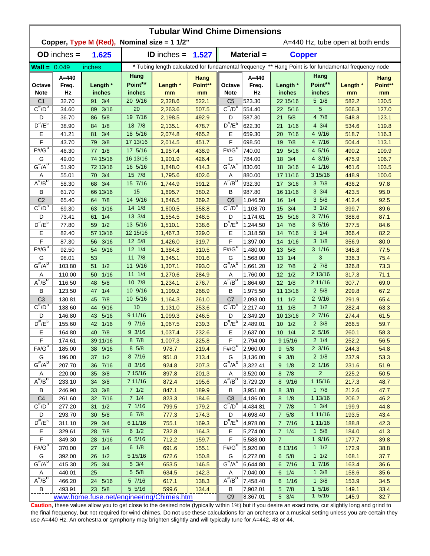|                                | <b>Tubular Wind Chime Dimensions</b><br>Copper, Type M (Red), Nominal size = 1 1/2"<br>A=440 Hz, tube open at both ends |                                          |                           |                      |                       |                                                                                                      |                          |                    |                              |                |                       |  |  |
|--------------------------------|-------------------------------------------------------------------------------------------------------------------------|------------------------------------------|---------------------------|----------------------|-----------------------|------------------------------------------------------------------------------------------------------|--------------------------|--------------------|------------------------------|----------------|-----------------------|--|--|
|                                | $OD$ inches $=$                                                                                                         | 1.625                                    |                           | <b>ID</b> inches $=$ | 1.527                 |                                                                                                      | Material =               | <b>Copper</b>      |                              |                |                       |  |  |
|                                |                                                                                                                         |                                          |                           |                      |                       | * Tubing length calculated for fundamental frequency ** Hang Point is for fundamental frequency node |                          |                    |                              |                |                       |  |  |
| $Wall = 0.049$                 |                                                                                                                         | inches                                   |                           |                      |                       |                                                                                                      |                          |                    |                              |                |                       |  |  |
| Octave<br><b>Note</b>          | A=440<br>Freq.<br>Hz                                                                                                    | Length *<br>inches                       | Hang<br>Point**<br>inches | Length *<br>mm       | Hang<br>Point**<br>mm | Octave<br><b>Note</b>                                                                                | $A = 440$<br>Freq.<br>Hz | Length *<br>inches | Hang<br>Point**<br>inches    | Length *<br>mm | Hang<br>Point**<br>mm |  |  |
| C <sub>1</sub>                 | 32.70                                                                                                                   | 91 3/4                                   | 20 9/16                   | 2,328.6              | 522.1                 | C <sub>5</sub>                                                                                       | 523.30                   | 22 15/16           | $5 \frac{1}{8}$              | 582.2          | 130.5                 |  |  |
| $C^{\frac{\pi}{}}/D^b$         | 34.60                                                                                                                   | 3/16<br>89                               | 20                        | 2,263.6              | 507.5                 | $C^{\#}/D^D$                                                                                         | 554.40                   | 22 5/16            | 5                            | 566.3          | 127.0                 |  |  |
| D                              | 36.70                                                                                                                   | 5/8<br>86                                | 19 7/16                   | 2,198.5              | 492.9                 | D                                                                                                    | 587.30                   | 5/8<br>21          | 47/8                         | 548.8          | 123.1                 |  |  |
| $D^{\#}/E^b$                   | 38.90                                                                                                                   | 1/8<br>84                                | 18 7/8                    | 2,135.1              | 478.7                 | $D^{\prime\prime}/E^b$                                                                               | 622.30                   | 1/16<br>21         | $4 \frac{3}{4}$              | 534.6          | 119.8                 |  |  |
| Е                              | 41.21                                                                                                                   | 3/4<br>81                                | 18 5/16                   | 2,074.8              | 465.2                 | Е                                                                                                    | 659.30                   | 7/16<br>20         | 4 9/16                       | 518.7          | 116.3                 |  |  |
| F                              | 43.70                                                                                                                   | 3/8<br>79.                               | 17 13/16                  | 2,014.5              | 451.7                 | F                                                                                                    | 698.50                   | 7/8<br>19          | 4 7/16                       | 504.4          | 113.1                 |  |  |
| $F#/\overline{G}^D$            | 46.30                                                                                                                   | 1/8<br>77                                | 17 5/16                   | 1,957.4              | 438.9                 | $F#/\overline{G}^D$                                                                                  | 740.00                   | 5/16<br>19         | 4 5/16                       | 490.2          | 109.9                 |  |  |
| G                              | 49.00                                                                                                                   | 74 15/16                                 | 16 13/16                  | 1,901.9              | 426.4                 | G                                                                                                    | 784.00                   | 3/4<br>18          | 4 3/16                       | 475.9          | 106.7                 |  |  |
| $G^{\#}/A^D$                   | 51.90                                                                                                                   | 72 13/16                                 | 16 5/16                   | 1,848.0              | 414.3                 | $G^H/A^D$                                                                                            | 830.60                   | 18 3/16            | 4 1/16                       | 461.6          | 103.5                 |  |  |
| A                              | 55.01                                                                                                                   | 70 3/4                                   | 15 7/8                    | 1,795.6              | 402.6                 | Α                                                                                                    | 880.00                   | 17 11/16           | 3 15/16                      | 448.9          | 100.6                 |  |  |
| $A^{\#}/B^D$                   | 58.30                                                                                                                   | 68 3/4                                   | 15 7/16                   | 1,744.9              | 391.2                 | $A^{\#}/B^D$                                                                                         | 932.30                   | 17 3/16            | 37/8                         | 436.2          | 97.8                  |  |  |
| В                              | 61.70                                                                                                                   | 66 13/16                                 | 15                        | 1,695.7              | 380.2                 | В                                                                                                    | 987.80                   | 16 11/16           | $3 \frac{3}{4}$              | 423.5          | 95.0                  |  |  |
| C <sub>2</sub><br>$C^{\#}/D^D$ | 65.40                                                                                                                   | 64 7/8                                   | 14 9/16                   | 1,646.5              | 369.2                 | C <sub>6</sub>                                                                                       | 1,046.50                 | 1/4<br>16          | 35/8                         | 412.4          | 92.5                  |  |  |
|                                | 69.30                                                                                                                   | 1/16<br>63                               | 14 1/8                    | 1,600.5              | 358.8                 | $C^{\prime\prime}/D^D$                                                                               | 1,108.70                 | 3/4<br>15          | $3 \frac{1}{2}$              | 399.7          | 89.6                  |  |  |
| D<br>$D^{\pi}/E^b$             | 73.41                                                                                                                   | 1/4<br>61                                | 13 3/4                    | 1,554.5              | 348.5                 | D<br>$D^{\pi}/E^b$                                                                                   | 1,174.61                 | 5/16<br>15         | 37/16                        | 388.6          | 87.1                  |  |  |
|                                | 77.80                                                                                                                   | 59 1/2                                   | 13 5/16                   | 1,510.1              | 338.6                 |                                                                                                      | 1,244.50                 | 14 7/8             | 35/16                        | 377.5          | 84.6                  |  |  |
| Е                              | 82.40                                                                                                                   | 57 13/16                                 | 12 15/16                  | 1,467.3              | 329.0                 | Е                                                                                                    | 1,318.50                 | 7/16<br>14         | $3 \t1/4$<br>$3 \frac{1}{8}$ | 366.4          | 82.2                  |  |  |
| F<br>$F# / G^D$                | 87.30                                                                                                                   | 3/16<br>56                               | 12 5/8<br>$12 \t1/4$      | 1,426.0              | 319.7                 | F<br>$F# / G^D$                                                                                      | 1,397.00                 | 1/16<br>14         | $3 \frac{1}{16}$             | 356.9          | 80.0                  |  |  |
|                                | 92.50                                                                                                                   | 9/16<br>54                               | $11 \t 7/8$               | 1,384.8              | 310.5                 |                                                                                                      | 1,480.00                 | 5/8<br>13<br>1/4   | 3                            | 345.8          | 77.5<br>75.4          |  |  |
| G<br>$G^{\#}/A^D$              | 98.01<br>103.80                                                                                                         | 53<br>1/2<br>51                          | 11 9/16                   | 1,345.1<br>1,307.1   | 301.6<br>293.0        | G<br>$G^{\#}/A^D$                                                                                    | 1,568.00<br>1,661.20     | 13<br>12 7/8       | $2 \frac{7}{8}$              | 336.3<br>326.8 | 73.3                  |  |  |
|                                | 110.00                                                                                                                  | 1/16<br>50                               | $11 \t1/4$                | 1,270.6              | 284.9                 |                                                                                                      | 1,760.00                 | $12 \t1/2$         | 2 13/16                      | 317.3          | 71.1                  |  |  |
| Α<br>$A^H/B^D$                 | 116.50                                                                                                                  | 5/8<br>48                                | 10 7/8                    | 1,234.1              | 276.7                 | Α<br>$A^{\#}/B^D$                                                                                    | 1,864.60                 | $12 \t1/8$         | 2 11/16                      | 307.7          | 69.0                  |  |  |
| В                              | 123.50                                                                                                                  | 1/4<br>47                                | 10 9/16                   | 1,199.2              | 268.9                 | В                                                                                                    | 1,975.50                 | 11 13/16           | $2\,5/8$                     | 299.8          | 67.2                  |  |  |
| C <sub>3</sub>                 | 130.81                                                                                                                  | 7/8<br>45                                | 10 5/16                   | 1,164.3              | 261.0                 | C <sub>7</sub>                                                                                       | 2,093.00                 | $11 \t1/2$         | 29/16                        | 291.9          | 65.4                  |  |  |
| $C^{\prime\prime}/D^b$         | 138.60                                                                                                                  | 9/16<br>44                               | 10                        | 1,131.0              | 253.6                 | $C^{\#}/D^b$                                                                                         | 2,217.40                 | $11 \t1/8$         | $2 \frac{1}{2}$              | 282.4          | 63.3                  |  |  |
| D                              | 146.80                                                                                                                  | 5/16<br>43                               | 9 11/16                   | 1,099.3              | 246.5                 | D                                                                                                    | 2,349.20                 | 10 13/16           | 27/16                        | 274.4          | 61.5                  |  |  |
| $D^{\prime\prime}/E^b$         | 155.60                                                                                                                  | 1/16<br>42                               | 97/16                     | 1,067.5              | 239.3                 | $D^{\#}/E^b$                                                                                         | 2,489.01                 | $10 \t1/2$         | $2 \frac{3}{8}$              | 266.5          | 59.7                  |  |  |
| Е                              | 164.80                                                                                                                  | 40 7/8                                   | 93/16                     | 1,037.4              | 232.6                 | Е                                                                                                    | 2,637.00                 | $10 \t1/4$         | $2\,5/16$                    | 260.1          | 58.3                  |  |  |
| F                              | 174.61                                                                                                                  | 39 11/16                                 | 87/8                      | 1,007.3              | 225.8                 | F                                                                                                    | 2,794.00                 | 9 15/16            | $2 \frac{1}{4}$              | 252.2          | 56.5                  |  |  |
| $F#/\overline{G}^D$            | 185.00                                                                                                                  | 38 9/16                                  | $8\,5/8$                  | 978.7                | 219.4                 | $F#/\overline{G}^D$                                                                                  | 2,960.00                 | 9 5/8              | $2 \frac{3}{16}$             | 244.3          | 54.8                  |  |  |
| G                              | 196.00                                                                                                                  | 37 1/2                                   | 8 7/16                    | 951.8                | 213.4                 | G                                                                                                    | 3,136.00                 | $9 \t3/8$          | $2 \frac{1}{8}$              | 237.9          | 53.3                  |  |  |
| $G^{\#}/A^D$                   | 207.70                                                                                                                  | 36 7/16                                  | 8 3/16                    | 924.8                | 207.3                 | $G^H/A^D$                                                                                            | 3,322.41                 | 9 1/8              | 2 1/16                       | 231.6          | 51.9                  |  |  |
| Α                              | 220.00                                                                                                                  | 35 3/8                                   | 7 15/16                   | 897.8                | 201.3                 | Α                                                                                                    | 3,520.00                 | 8 7/8              | $\overline{2}$               | 225.2          | 50.5                  |  |  |
| $A^{\#}/B^D$                   | 233.10                                                                                                                  | 34 3/8                                   | 7 11/16                   | 872.4                | 195.6                 | $A^{\overline{n}}/B^{\overline{D}}$                                                                  | 3,729.20                 | 8 9/16             | 1 15/16                      | 217.3          | 48.7                  |  |  |
| В                              | 246.90                                                                                                                  | 33 3/8                                   | 71/2                      | 847.1                | 189.9                 | В                                                                                                    | 3,951.00                 | 8 3/8              | $1 \t7/8$                    | 212.6          | 47.7                  |  |  |
| C <sub>4</sub>                 | 261.60                                                                                                                  | 32 7/16                                  | $7 \t1/4$                 | 823.3                | 184.6                 | C <sub>8</sub>                                                                                       | 4,186.00                 | $8 \t1/8$          | 1 13/16                      | 206.2          | 46.2                  |  |  |
| $C^{\frac{\pi}{}}/D^b$         | 277.20                                                                                                                  | $31 \t1/2$                               | 7 1/16                    | 799.5                | 179.2                 | $C^{\#}/D^D$                                                                                         | 4,434.81                 | $7 \t7/8$          | $1 \frac{3}{4}$              | 199.9          | 44.8                  |  |  |
| D                              | 293.70                                                                                                                  | 5/8<br>30 <sup>°</sup>                   | 67/8                      | 777.3                | 174.3                 | D                                                                                                    | 4,698.40                 | $7\quad5/8$        | 1 11/16                      | 193.5          | 43.4                  |  |  |
| $D^{\frac{\pi}{r}}/E^b$        | 311.10                                                                                                                  | 29 3/4                                   | 6 11/16                   | 755.1                | 169.3                 | $D^{\#}/E^b$                                                                                         | 4,978.00                 | 7 7/16             | 1 11/16                      | 188.8          | 42.3                  |  |  |
| Е                              | 329.61                                                                                                                  | 28 7/8                                   | $6 \frac{1}{2}$           | 732.8                | 164.3                 | Е                                                                                                    | 5,274.00                 | $7 \t1/4$          | $1 \t5/8$                    | 184.0          | 41.3                  |  |  |
| F                              | 349.30                                                                                                                  | 28 1/16                                  | 6 5/16                    | 712.2                | 159.7                 | F                                                                                                    | 5,588.00                 | $\overline{7}$     | 19/16                        | 177.7          | 39.8                  |  |  |
| $F# / G^D$                     | 370.00                                                                                                                  | 27 1/4                                   | 6 1/8                     | 691.6                | 155.1                 | $F# / G^D$                                                                                           | 5,920.00                 | 6 13/16            | $1 \t1/2$                    | 172.9          | 38.8                  |  |  |
| G                              | 392.00                                                                                                                  | 26 1/2                                   | 5 15/16                   | 672.6                | 150.8                 | G                                                                                                    | 6,272.00                 | $6\quad 5/8$       | $1 \t1/2$                    | 168.1          | 37.7                  |  |  |
| $G^{\#}/A^D$                   | 415.30                                                                                                                  | 25 3/4                                   | $5 \frac{3}{4}$           | 653.5                | 146.5                 | $G^{\#}/A^D$                                                                                         | 6,644.80                 | 6 7/16             | 17/16                        | 163.4          | 36.6                  |  |  |
| A                              | 440.01                                                                                                                  | 25                                       | $5 \frac{5}{8}$           | 634.5                | 142.3                 | Α                                                                                                    | 7,040.00                 | $6 \t1/4$          | $1 \frac{3}{8}$              | 158.6          | 35.6                  |  |  |
| $A^H/B^D$                      | 466.20                                                                                                                  | 24 5/16                                  | 57/16                     | 617.1                | 138.3                 | $A^H/B^D$                                                                                            | 7,458.40                 | 6 1/16             | $1 \frac{3}{8}$              | 153.9          | 34.5                  |  |  |
| В                              | 493.91                                                                                                                  | 23 5/8                                   | 5 5/16                    | 599.6                | 134.4                 | B                                                                                                    | 7,902.01                 | 5 7/8              | $1 \t5/16$                   | 149.1          | 33.4                  |  |  |
|                                |                                                                                                                         | www.home.fuse.net/engineering/Chimes.htm |                           |                      |                       | C <sub>9</sub>                                                                                       | 8,367.01                 | $5 \frac{3}{4}$    | 15/16                        | 145.9          | 32.7                  |  |  |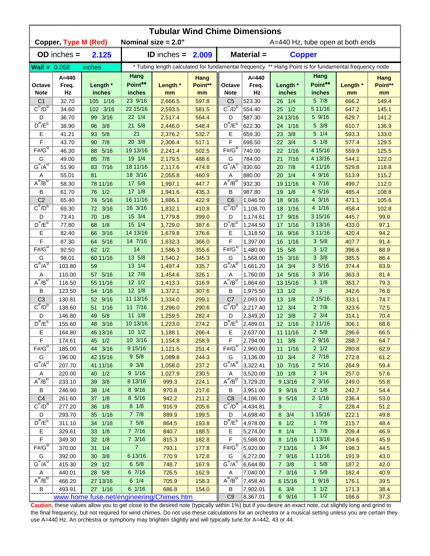|                               | <b>Tubular Wind Chime Dimensions</b> |                                          |                   |                        |                 |                                     |                  |                                  |                                                                                                      |             |                 |  |  |  |
|-------------------------------|--------------------------------------|------------------------------------------|-------------------|------------------------|-----------------|-------------------------------------|------------------|----------------------------------|------------------------------------------------------------------------------------------------------|-------------|-----------------|--|--|--|
|                               | <b>Copper, Type M (Red)</b>          |                                          |                   | Nominal size $= 2.0$ " |                 |                                     |                  | A=440 Hz, tube open at both ends |                                                                                                      |             |                 |  |  |  |
|                               | $OD$ inches $=$                      | 2.125                                    |                   | <b>ID</b> inches $=$   | 2.009           |                                     | Material =       | <b>Copper</b>                    |                                                                                                      |             |                 |  |  |  |
| $Wall = 0.058$                |                                      | inches                                   |                   |                        |                 |                                     |                  |                                  | * Tubing length calculated for fundamental frequency ** Hang Point is for fundamental frequency node |             |                 |  |  |  |
| Octave                        | A=440<br>Freq.                       | Length *                                 | Hang<br>Point**   | Length *               | Hang<br>Point** | Octave                              | $A=440$<br>Freq. | Length *                         | Hang<br>Point**                                                                                      | Length *    | Hang<br>Point** |  |  |  |
| <b>Note</b><br>C <sub>1</sub> | Hz<br>32.70                          | inches<br>105 1/16                       | inches<br>23 9/16 | mm<br>2,666.5          | mm<br>597.8     | <b>Note</b><br>C <sub>5</sub>       | Hz<br>523.30     | inches<br>26 1/4                 | inches<br>5 7/8                                                                                      | mm<br>666.2 | mm<br>149.4     |  |  |  |
| $C^{\#}/D^b$                  | 34.60                                | 102 3/16                                 | 22 15/16          | 2,593.5                | 581.5           | $C^{\#}/D^D$                        | 554.40           | 1/2<br>25                        | 5 11/16                                                                                              | 647.2       | 145.1           |  |  |  |
| D                             | 36.70                                | 3/16<br>99                               | 22 1/4            | 2,517.4                | 564.4           | D                                   | 587.30           | 24 13/16                         | 5 9/16                                                                                               | 629.7       | 141.2           |  |  |  |
| $D^{\#}/E^b$                  | 38.90                                | 3/8<br>96                                | 21 5/8            | 2,446.0                | 548.4           | $D^{\prime\prime}/E^b$              | 622.30           | 1/16<br>24                       | 5 3/8                                                                                                | 610.7       | 136.9           |  |  |  |
| Ε                             | 41.21                                | 5/8<br>93                                | 21                | 2,376.2                | 532.7           | Ε                                   | 659.30           | 3/8<br>23                        | $5 \t1/4$                                                                                            | 593.3       | 133.0           |  |  |  |
| F                             | 43.70                                | 7/8<br>90                                | 20 3/8            | 2,306.4                | 517.1           | F                                   | 698.50           | 22 3/4                           | $5 \frac{1}{8}$                                                                                      | 577.4       | 129.5           |  |  |  |
| $F# / G^D$                    | 46.30                                | 5/16<br>88                               | 19 13/16          | 2,241.4                | 502.5           | $F#/\overline{G}^D$                 | 740.00           | 1/16<br>22                       | 4 15/16                                                                                              | 559.9       | 125.5           |  |  |  |
| G                             | 49.00                                | 7/8<br>85                                | 19 1/4            | 2,179.5                | 488.6           | G                                   | 784.00           | 7/16<br>21                       | 4 13/16                                                                                              | 544.1       | 122.0           |  |  |  |
| $G^{\#}/A^D$                  | 51.90                                | 7/16<br>83                               | 18 11/16          | 2,117.6                | 474.8           | $G^H/A^D$                           | 830.60           | 7/8<br>20                        | 4 11/16                                                                                              | 529.8       | 118.8           |  |  |  |
| Α                             | 55.01                                | 81                                       | 18 3/16           | 2,055.8                | 460.9           | Α                                   | 880.00           | 1/4<br>20                        | 4 9/16                                                                                               | 513.9       | 115.2           |  |  |  |
| $A^{\#}/B^{\circ}$            | 58.30                                | 78 11/16                                 | 17 5/8            | 1,997.1                | 447.7           | $A^H/B^D$                           | 932.30           | 19 11/16                         | 4 7/16                                                                                               | 499.7       | 112.0           |  |  |  |
| В                             | 61.70                                | 1/2<br>76                                | $17 \frac{1}{8}$  | 1,941.6                | 435.3           | B                                   | 987.80           | 1/8<br>19                        | 4 5/16                                                                                               | 485.4       | 108.8           |  |  |  |
| C <sub>2</sub>                | 65.40                                | 5/16<br>74                               | 16 11/16          | 1,886.1                | 422.9           | C <sub>6</sub>                      | 1,046.50         | 9/16<br>18                       | $4 \frac{3}{16}$                                                                                     | 471.1       | 105.6           |  |  |  |
| $C^{\prime\prime}/D^D$        | 69.30                                | 3/16<br>72                               | 16 3/16           | 1,832.1                | 410.8           | $C^{\prime\prime}/D^D$              | 1,108.70         | 1/16<br>18                       | 4 1/16                                                                                               | 458.4       | 102.8           |  |  |  |
| D                             | 73.41                                | 1/8<br>70                                | 15 3/4            | 1,779.8                | 399.0           | D                                   | 1,174.61         | 9/16<br>17                       | 3 15/16                                                                                              | 445.7       | 99.9            |  |  |  |
| $D^{\frac{\pi}{}}/E^b$        | 77.80                                | 1/8<br>68                                | 15 1/4            | 1,729.0                | 387.6           | $D^{\pi}/E^b$                       | 1,244.50         | 1/16<br>17                       | 3 13/16                                                                                              | 433.0       | 97.1            |  |  |  |
| Е                             | 82.40                                | 3/16<br>66                               | 14 13/16          | 1,679.8                | 376.6           | Е                                   | 1,318.50         | 9/16<br>16                       | 3 11/16                                                                                              | 420.4       | 94.2            |  |  |  |
| F                             | 87.30                                | 5/16<br>64                               | 14 7/16           | 1,632.3                | 366.0           | F                                   | 1,397.00         | 1/16<br>16                       | 35/8                                                                                                 | 407.7       | 91.4            |  |  |  |
| $F# / G^D$                    | 92.50                                | 1/2<br>62                                | 14                | 1,586.3                | 355.6           | $F# / G^D$                          | 1,480.00         | 15<br>5/8                        | $3 \frac{1}{2}$                                                                                      | 396.6       | 88.9            |  |  |  |
| G                             | 98.01                                | 60 11/16                                 | 13 5/8            | 1,540.2                | 345.3           | G                                   | 1,568.00         | 15<br>3/16                       | $3 \frac{3}{8}$                                                                                      | 385.5       | 86.4            |  |  |  |
| $G^{\#}/A^D$                  | 103.80                               | 59                                       | 13 1/4            | 1,497.4                | 335.7           | $G^{\#}/A^D$                        | 1,661.20         | 3/4<br>14                        | $3\,5/16$                                                                                            | 374.4       | 83.9            |  |  |  |
| Α                             | 110.00                               | 5/16<br>57 <sub>2</sub>                  | 12 7/8            | 1,454.6                | 326.1           | Α                                   | 1,760.00         | 14 5/16                          | $3 \frac{3}{16}$                                                                                     | 363.3       | 81.4            |  |  |  |
| $A^H/B^D$                     | 116.50                               | 55 11/16                                 | $12 \frac{1}{2}$  | 1,413.3                | 316.9           | $A^{\#}/B^D$                        | 1,864.60         | 13 15/16                         | $3 \frac{1}{8}$                                                                                      | 353.7       | 79.3            |  |  |  |
| B                             | 123.50                               | 54 1/16                                  | $12 \frac{1}{8}$  | 1,372.1                | 307.6           | B                                   | 1,975.50         | $13 \quad 1/2$                   | 3                                                                                                    | 342.6       | 76.8            |  |  |  |
| C <sub>3</sub>                | 130.81                               | 52 9/16                                  | 11 13/16          | 1,334.0                | 299.1           | C <sub>7</sub>                      | 2,093.00         | 13 1/8                           | 2 15/16                                                                                              | 333.1       | 74.7            |  |  |  |
| $C^{\#}/D^b$                  | 138.60                               | 1/16<br>51                               | 11 7/16           | 1,296.0                | 290.6           | $C^{\prime\prime}/D^{\prime\prime}$ | 2,217.40         | 12 3/4                           | $2 \frac{7}{8}$                                                                                      | 323.6       | 72.5            |  |  |  |
| D                             | 146.80                               | 5/8<br>49                                | $11 \t1/8$        | 1,259.5                | 282.4           | D                                   | 2,349.20         | 12 3/8                           | $2 \frac{3}{4}$                                                                                      | 314.1       | 70.4            |  |  |  |
| $D^{\#}/E^b$                  | 155.60                               | 48 3/16                                  | 10 13/16          | 1,223.0                | 274.2           | $D^{\#}/E^b$                        | 2,489.01         | 12 1/16                          | 2 11/16                                                                                              | 306.1       | 68.6            |  |  |  |
| Е                             | 164.80                               | 46 13/16                                 | 101/2             | 1,188.1                | 266.4           | Е                                   | 2,637.00         | 11 11/16                         | $2\,5/8$                                                                                             | 296.6       | 66.5            |  |  |  |
| F                             | 174.61                               | 45 1/2                                   | $10 \t3/16$       | 1,154.8                | 258.9           | F                                   | 2,794.00         | $11 \t3/8$                       | 29/16                                                                                                | 288.7       | 64.7            |  |  |  |
| $F#/\overline{G}^{\sigma}$    | 185.00                               | 44 3/16                                  | 9 15/16           | 1,121.5                | 251.4           | $F# / G^D$                          | 2,960.00         | 11 1/16                          | $2 \frac{1}{2}$                                                                                      | 280.8       | 62.9            |  |  |  |
| G                             | 196.00                               | 42 15/16                                 | 95/8              | 1,089.8                | 244.3           | G                                   | 3,136.00         | 10 3/4                           | 27/16                                                                                                | 272.8       | 61.2            |  |  |  |
| $G^{\#}/A^D$                  | 207.70                               | 41 11/16                                 | $9 \frac{3}{8}$   | 1,058.0                | 237.2           | $G^H/A^D$                           | 3,322.41         | 10 7/16                          | $2\frac{5}{16}$                                                                                      | 264.9       | 59.4            |  |  |  |
| A                             | 220.00                               | 40 1/2                                   | 9 1/16            | 1,027.9                | 230.5           | Α                                   | 3,520.00         | 10 1/8                           | $2 \frac{1}{4}$                                                                                      | 257.0       | 57.6            |  |  |  |
| $A^{\#}/B^D$                  | 233.10                               | 39 3/8                                   | 8 13/16           | 999.3                  | 224.1           | $A^{\#}/B^D$                        | 3,729.20         | 9 13/16                          | $2 \frac{3}{16}$                                                                                     | 249.0       | 55.8            |  |  |  |
| В                             | 246.90                               | 38 1/4                                   | 8 9/16            | 970.8                  | 217.6           | В                                   | 3,951.00         | 9 9/16                           | $2 \frac{1}{8}$                                                                                      | 242.7       | 54.4            |  |  |  |
| C <sub>4</sub>                | 261.60                               | 37 1/8                                   | 8 5/16            | 942.2                  | 211.2           | C <sub>8</sub>                      | 4,186.00         | 9 5/16                           | $2 \frac{1}{16}$                                                                                     | 236.4       | 53.0            |  |  |  |
| $C^{\pi}/D^b$                 | 277.20                               | 36 1/8                                   | $8 \frac{1}{8}$   | 916.9                  | 205.6           | $C^{\pi}/D^b$                       | 4,434.81         | 9                                | $\overline{2}$                                                                                       | 228.4       | 51.2            |  |  |  |
| D                             | 293.70                               | 35 1/16                                  | $7 \t7/8$         | 889.9                  | 199.5           | D                                   | 4,698.40         | 8 3/4                            | 1 15/16                                                                                              | 222.1       | 49.8            |  |  |  |
| $D^{\#}/E^b$                  | 311.10                               | 1/16<br>34                               | $7\frac{5}{8}$    | 864.5                  | 193.8           | $D^{\#}/E^b$                        | 4,978.00         | $8 \t1/2$                        | 17/8                                                                                                 | 215.7       | 48.4            |  |  |  |
| Е                             | 329.61                               | 1/8<br>33 <sup>°</sup>                   | 7 7/16            | 840.7                  | 188.5           | Е                                   | 5,274.00         | $8 \t1/4$                        | 17/8                                                                                                 | 209.4       | 46.9            |  |  |  |
| F                             | 349.30                               | 32 1/8                                   | $7 \frac{3}{16}$  | 815.3                  | 182.8           | F                                   | 5,588.00         | 8 1/16                           | 1 13/16                                                                                              | 204.6       | 45.9            |  |  |  |
| $F# / G^D$                    | 370.00                               | 31<br>1/4                                | 7 <sup>7</sup>    | 793.1                  | 177.8           | $F# / G^D$                          | 5,920.00         | 7 13/16                          | $1 \frac{3}{4}$                                                                                      | 198.3       | 44.5            |  |  |  |
| G                             | 392.00                               | 3/8<br>30                                | 6 13/16           | 770.9                  | 172.8           | G                                   | 6,272.00         | 7 9/16                           | 1 11/16                                                                                              | 191.9       | 43.0            |  |  |  |
| $G^{\#}/A^D$                  | 415.30                               | 29 1/2                                   | $6\;\;5/8$        | 748.7                  | 167.9           | $G^{\overline{n}}/A^{\overline{D}}$ | 6,644.80         | $7 \frac{3}{8}$                  | $1 \t5/8$                                                                                            | 187.2       | 42.0            |  |  |  |
| Α                             | 440.01                               | 28 5/8                                   | 6 7/16            | 726.5                  | 162.9           | A                                   | 7,040.00         | 7 3/16                           | $1 \t5/8$                                                                                            | 182.4       | 40.9            |  |  |  |
| $A^H/B^D$                     | 466.20                               | 27 13/16                                 | $6 \t1/4$         | 705.9                  | 158.3           | $A^H/B^D$                           | 7,458.40         | 6 15/16                          | $1 \frac{9}{16}$                                                                                     | 176.1       | 39.5            |  |  |  |
| В                             | 493.91                               | 27 1/16                                  | 6 1/16            | 686.8                  | 154.0           | B                                   | 7,902.01         | $6 \t3/4$                        | 11/2                                                                                                 | 171.3       | 38.4            |  |  |  |
|                               |                                      | www.home.fuse.net/engineering/Chimes.htm |                   |                        |                 | C <sub>9</sub>                      | 8,367.01         | 6 9/16                           | $1 \t1/2$                                                                                            | 166.6       | 37.3            |  |  |  |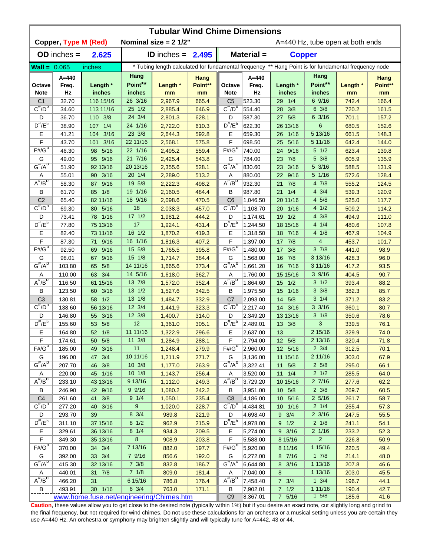|                                          | <b>Tubular Wind Chime Dimensions</b> |                                          |                  |                                |                |                                                                                                      |                      |                        |                           |                                  |                |  |  |  |
|------------------------------------------|--------------------------------------|------------------------------------------|------------------|--------------------------------|----------------|------------------------------------------------------------------------------------------------------|----------------------|------------------------|---------------------------|----------------------------------|----------------|--|--|--|
|                                          | <b>Copper, Type M (Red)</b>          |                                          |                  | Nominal size = $2 \frac{1}{2}$ |                |                                                                                                      |                      |                        |                           | A=440 Hz, tube open at both ends |                |  |  |  |
|                                          | $OD$ inches $=$                      | 2.625                                    |                  | <b>ID</b> inches = $2.495$     |                |                                                                                                      | Material =           | <b>Copper</b>          |                           |                                  |                |  |  |  |
| <b>Wall = <math>0.065</math></b>         |                                      | inches                                   |                  |                                |                | * Tubing length calculated for fundamental frequency ** Hang Point is for fundamental frequency node |                      |                        |                           |                                  |                |  |  |  |
|                                          | $A = 440$                            |                                          | Hang             |                                | Hang           |                                                                                                      | $A = 440$            |                        | Hang                      |                                  | Hang           |  |  |  |
| Octave                                   | Freq.                                | Length *                                 | Point**          | Length *                       | Point**        | Octave                                                                                               | Freq.                | Length *               | Point**                   | Length *                         | Point**        |  |  |  |
| <b>Note</b>                              | Hz                                   | inches                                   | inches           | mm                             | mm             | <b>Note</b>                                                                                          | Hz                   | inches                 | inches                    | mm                               | mm             |  |  |  |
| C <sub>1</sub><br>$C^{\overline{n}}/D^b$ | 32.70                                | 116 15/16                                | 26 3/16          | 2,967.9                        | 665.4          | C <sub>5</sub><br>$C^{\#}/D^D$                                                                       | 523.30               | 29 1/4                 | 6 9/16                    | 742.4                            | 166.4          |  |  |  |
|                                          | 34.60                                | 113 11/16<br>110 3/8                     | 25 1/2<br>24 3/4 | 2,885.4                        | 646.9          |                                                                                                      | 554.40<br>587.30     | 3/8<br>28<br>27 5/8    | $6 \frac{3}{8}$<br>6 3/16 | 720.2                            | 161.5          |  |  |  |
| D<br>$D^{\#}/E^b$                        | 36.70<br>38.90                       | 1/4<br>107                               | 24 1/16          | 2,801.3<br>2,722.0             | 628.1<br>610.3 | D<br>$D^{\prime\prime}/E^b$                                                                          | 622.30               | 26 13/16               | $6\phantom{1}6$           | 701.1<br>680.5                   | 157.2<br>152.6 |  |  |  |
| Ε                                        | 41.21                                | 3/16<br>104                              | 23 3/8           | 2,644.3                        | 592.8          | Ε                                                                                                    | 659.30               | 1/16<br>26             | 5 13/16                   | 661.5                            | 148.3          |  |  |  |
| F                                        | 43.70                                | 3/16<br>101                              | 22 11/16         | 2,568.1                        | 575.8          | F                                                                                                    | 698.50               | 5/16<br>25             | 5 11/16                   | 642.4                            | 144.0          |  |  |  |
| $F# / G^D$                               | 46.30                                | 5/16<br>98                               | 22 1/16          | 2,495.2                        | 559.4          | $F# / G^D$                                                                                           | 740.00               | 24 9/16                | $5 \frac{1}{2}$           | 623.4                            | 139.8          |  |  |  |
| G                                        | 49.00                                | 95 9/16                                  | 21 7/16          | 2,425.4                        | 543.8          | G                                                                                                    | 784.00               | 7/8<br>23              | 5 3/8                     | 605.9                            | 135.9          |  |  |  |
| $G^{\#}/A^D$                             | 51.90                                | 92 13/16                                 | 20 13/16         | 2,355.6                        | 528.1          | $G^{\#}/A^D$                                                                                         | 830.60               | 3/16<br>23             | 5 3/16                    | 588.5                            | 131.9          |  |  |  |
| Α                                        | 55.01                                | 3/16<br>90 <sub>o</sub>                  | 20 1/4           | 2,289.0                        | 513.2          | Α                                                                                                    | 880.00               | 9/16<br>22             | 5 1/16                    | 572.6                            | 128.4          |  |  |  |
| $A^H/B^D$                                | 58.30                                | 9/16<br>87                               | 19 5/8           | 2,222.3                        | 498.2          | $A^H/B^D$                                                                                            | 932.30               | 7/8<br>21              | 4 7/8                     | 555.2                            | 124.5          |  |  |  |
| В                                        | 61.70                                | 1/8<br>85                                | 19 1/16          | 2,160.5                        | 484.4          | B                                                                                                    | 987.80               | 1/4<br>21              | $4 \frac{3}{4}$           | 539.3                            | 120.9          |  |  |  |
| C <sub>2</sub>                           | 65.40                                | 82 11/16                                 | 18 9/16          | 2,098.6                        | 470.5          | C <sub>6</sub>                                                                                       | 1,046.50             | 20 11/16               | 4 5/8                     | 525.0                            | 117.7          |  |  |  |
| $C^{\#}/D^D$                             | 69.30                                | 5/16<br>80                               | 18               | 2,038.3                        | 457.0          | $C^{\prime\prime}/D^D$                                                                               | 1,108.70             | 1/16<br>20             | 41/2                      | 509.2                            | 114.2          |  |  |  |
| D                                        | 73.41                                | 78 1/16                                  | $17 \frac{1}{2}$ | 1,981.2                        | 444.2          | D                                                                                                    | 1,174.61             | 1/2<br>19              | $4 \frac{3}{8}$           | 494.9                            | 111.0          |  |  |  |
| $D^{\pi}/E^b$                            | 77.80                                | 75 13/16                                 | 17               | 1,924.1                        | 431.4          | $D^{\pi}/E^b$                                                                                        | 1,244.50             | 18 15/16               | 41/4                      | 480.6                            | 107.8          |  |  |  |
| Е                                        | 82.40                                | 73 11/16                                 | 16 1/2           | 1,870.2                        | 419.3          | Е                                                                                                    | 1,318.50             | 7/16<br>18             | 41/8                      | 467.9                            | 104.9          |  |  |  |
| F                                        | 87.30                                | 9/16<br>71                               | 16 1/16          | 1,816.3                        | 407.2          | F                                                                                                    | 1,397.00             | 17 7/8                 | $\overline{\mathbf{4}}$   | 453.7                            | 101.7          |  |  |  |
| $F# / G^D$                               | 92.50                                | 9/16<br>69                               | 15 5/8           | 1,765.5                        | 395.8          | $F# / G^D$                                                                                           | 1,480.00             | 17 3/8                 | 37/8                      | 441.0                            | 98.9           |  |  |  |
| G                                        | 98.01                                | 9/16<br>67                               | 15 1/8           | 1,714.7                        | 384.4          | G                                                                                                    | 1,568.00             | 7/8<br>16              | 3 13/16                   | 428.3                            | 96.0           |  |  |  |
| $G^{\#}/A^D$                             | 103.80                               | 5/8<br>65                                | 14 11/16         | 1,665.6                        | 373.4          | $G^{\#}/A^D$                                                                                         | 1,661.20             | 16 7/16                | 3 11/16                   | 417.2                            | 93.5           |  |  |  |
| Α                                        | 110.00                               | 3/4<br>63                                | 14 5/16          | 1,618.0                        | 362.7          | Α                                                                                                    | 1,760.00             | 15 15/16               | 39/16                     | 404.5                            | 90.7           |  |  |  |
| $A^{\#}/B^{\sigma}$                      | 116.50                               | 61 15/16                                 | 13 7/8           | 1,572.0                        | 352.4          | $A^H/B^D$                                                                                            | 1,864.60             | $15 \t1/2$             | $3 \frac{1}{2}$           | 393.4                            | 88.2           |  |  |  |
| в                                        | 123.50                               | 3/16<br>60                               | 13 1/2           | 1,527.6                        | 342.5          | B                                                                                                    | 1,975.50             | 1/16<br>15             | $3 \frac{3}{8}$           | 382.3                            | 85.7           |  |  |  |
| C <sub>3</sub>                           | 130.81                               | 1/2<br>58                                | 13 1/8           | 1,484.7                        | 332.9          | C <sub>7</sub>                                                                                       | 2,093.00             | 14 5/8                 | $3 \t1/4$                 | 371.2                            | 83.2           |  |  |  |
| $C^{\prime\prime}/D^b$                   | 138.60                               | 56 13/16                                 | $12 \frac{3}{4}$ | 1,441.9                        | 323.3          | $C^{\#}/D^D$                                                                                         | 2.217.40             | 14 3/16                | $3 \frac{3}{16}$          | 360.1                            | 80.7           |  |  |  |
| D                                        | 146.80                               | 3/16<br>55                               | $12 \frac{3}{8}$ | 1,400.7                        | 314.0          | D                                                                                                    | 2,349.20             | 13 13/16               | $3 \frac{1}{8}$           | 350.6                            | 78.6           |  |  |  |
| $D^{\#}/E^b$                             | 155.60                               | 5/8<br>53                                | 12               | 1,361.0                        | 305.1          | $D^{\#}/E^b$                                                                                         | 2,489.01             | 13 3/8                 | 3                         | 339.5                            | 76.1           |  |  |  |
| Е                                        | 164.80                               | 52 1/8                                   | 11 11/16         | 1,322.9                        | 296.6          | Е                                                                                                    | 2,637.00             | 13                     | 2 15/16                   | 329.9                            | 74.0           |  |  |  |
| F                                        | 174.61                               | 50 5/8                                   | $11 \t3/8$       | 1,284.9                        | 288.1          | F                                                                                                    | 2,794.00             | 12 5/8                 | 2 13/16                   | 320.4                            | 71.8           |  |  |  |
| $F# / G^D$                               | 185.00                               | 49 3/16                                  | 11<br>10 11/16   | 1,248.4                        | 279.9          | $F# / G^D$                                                                                           | 2,960.00             | 12 5/16                | $2 \frac{3}{4}$           | 312.5                            | 70.1           |  |  |  |
| G<br>$G^{\#}/A^D$                        | 196.00                               | 47 3/4                                   | $10 \frac{3}{8}$ | 1,211.9                        | 271.7          | G<br>$G^H/A^D$                                                                                       | 3,136.00             | 11 15/16               | 2 11/16<br>$2\;5/8$       | 303.0                            | 67.9           |  |  |  |
|                                          | 207.70                               | 46 3/8<br>45 1/16                        | $10 \t1/8$       | 1,177.0                        | 263.9          |                                                                                                      | 3,322.41             | 11 5/8                 | $2 \frac{1}{2}$           | 295.0                            | 66.1<br>64.0   |  |  |  |
| A<br>$A^{\#}/B^D$                        | 220.00<br>233.10                     | 43 13/16                                 | 9 13/16          | 1,143.7<br>1,112.0             | 256.4<br>249.3 | A<br>$A^{\overline{n}}/B^D$                                                                          | 3,520.00<br>3,729.20 | $11 \t1/4$<br>10 15/16 | 27/16                     | 285.5<br>277.6                   | 62.2           |  |  |  |
| В                                        | 246.90                               | 42 9/16                                  | $9 \frac{9}{16}$ | 1,080.2                        | 242.2          | В                                                                                                    | 3,951.00             | 10 5/8                 | $2 \frac{3}{8}$           | 269.7                            | 60.5           |  |  |  |
| C <sub>4</sub>                           | 261.60                               | 41 3/8                                   | $9 \t1/4$        | 1,050.1                        | 235.4          | C <sub>8</sub>                                                                                       | 4,186.00             | 10 5/16                | $2\frac{5}{16}$           | 261.7                            | 58.7           |  |  |  |
| $C^{\frac{\pi}{}}/D^b$                   | 277.20                               | 40 3/16                                  | 9                | 1,020.0                        | 228.7          | $C^{\pi}/D^b$                                                                                        | 4,434.81             | 10 1/16                | $2 \frac{1}{4}$           | 255.4                            | 57.3           |  |  |  |
| D                                        | 293.70                               | 39                                       | 8 3/4            | 989.8                          | 221.9          | D                                                                                                    | 4,698.40             | $9 \t3/4$              | $2 \frac{3}{16}$          | 247.5                            | 55.5           |  |  |  |
| $D^{\frac{\pi}{r}}/E^b$                  | 311.10                               | 37 15/16                                 | $8 \frac{1}{2}$  | 962.9                          | 215.9          | $D^{\#}/E^b$                                                                                         | 4,978.00             | $9 \t1/2$              | $2 \frac{1}{8}$           | 241.1                            | 54.1           |  |  |  |
| Е                                        | 329.61                               | 36 13/16                                 | $8 \t1/4$        | 934.3                          | 209.5          | Е                                                                                                    | 5,274.00             | $9 \frac{3}{16}$       | $2 \frac{1}{16}$          | 233.2                            | 52.3           |  |  |  |
| F                                        | 349.30                               | 35 13/16                                 | 8                | 908.9                          | 203.8          | F                                                                                                    | 5,588.00             | 8 15/16                | $\overline{2}$            | 226.8                            | 50.9           |  |  |  |
| $F# / G^D$                               | 370.00                               | 34   3/4                                 | 7 13/16          | 882.0                          | 197.7          | $F# / G^D$                                                                                           | 5,920.00             | 8 11/16                | 1 15/16                   | 220.5                            | 49.4           |  |  |  |
| G                                        | 392.00                               | 33 3/4                                   | 7 9/16           | 856.6                          | 192.0          | G                                                                                                    | 6,272.00             | 8 7/16                 | $1 \t7/8$                 | 214.1                            | 48.0           |  |  |  |
| $G^{\#}/A^D$                             | 415.30                               | 32 13/16                                 | $7 \frac{3}{8}$  | 832.8                          | 186.7          | $G^H/A^D$                                                                                            | 6,644.80             | 8 3/16                 | 1 13/16                   | 207.8                            | 46.6           |  |  |  |
| Α                                        | 440.01                               | 31 7/8                                   | $7 \t1/8$        | 809.0                          | 181.4          | Α                                                                                                    | 7,040.00             | 8                      | 1 13/16                   | 203.0                            | 45.5           |  |  |  |
| $A^H/B^D$                                | 466.20                               | 31                                       | 6 15/16          | 786.8                          | 176.4          | $A^{\#}/B^{\overline{O}}$                                                                            | 7,458.40             | $7 \frac{3}{4}$        | $1 \t3/4$                 | 196.7                            | 44.1           |  |  |  |
| В                                        | 493.91                               | 30 1/16                                  | $6 \frac{3}{4}$  | 763.0                          | 171.1          | B                                                                                                    | 7,902.01             | $7$ $1/2$              | 1 11/16                   | 190.4                            | 42.7           |  |  |  |
|                                          |                                      | www.home.fuse.net/engineering/Chimes.htm |                  |                                |                | C <sub>9</sub>                                                                                       | 8,367.01             | 7 5/16                 | 15/8                      | 185.6                            | 41.6           |  |  |  |